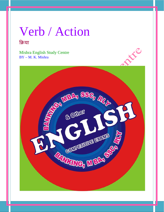## Verb / Action

### क्रिया

Mishra English Study Centre BY – M. K. Mishra

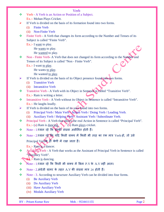- Verb A Verb is an Action or Position of a Subject. Ex.:- Mohan Plays Cricket.
- If Verb is divided on the basis of its formation found into two forms.
	- (i) Finite Verb
	- (ii) Non-Finite Verb
- $\bullet$  Finite Verb A Verb that changes its form according to the Number and Tenses of its Subject is called "Finite Verb".

Ex.:- I want to play.

He wants to play.

He wanted to play.

• Non - Finite Verb- A Verb that does not changed its form according to the Number and Tenses of its Subject is called "Non - Finite Verb".

Ex.:- I want to play.

He wants to play.

He wanted to play.

 $\triangleright$  If Verb is divided on the basis of its Object presence found into two forms.

- (i) Transitive Verb
- (ii) Intransitive Verb
- \* Transitive Verb A Verb with its Object in Sentence is called "Transitive Verb". Ex.:- Ram is writing a letter.
- Intransitive Verb A Verb without its Object in Sentence is called "Intransitive Verb". Ex.:- He laughs loudly.
- $\triangleright$  If Verb is divided on the basis of its uses found into two forms.
	- (i) Principal Verb / Main Verb / Action Verb / Doing Verb / Leading Verb.
	- (ii) Auxiliary Verb / Helping Verb / Assistant Verb / Subordinate Verb.
- Principal Verb A Verb that shows the real Action in Sentence is called "Principal Verb". Ex.:- (a) Ram is dancing. (b) Ram plays cricket.
- $\mathbf{\hat{P}}$  Note 1.ध्यान रहे कि इनकी संख्या असीमित होती हैं।
- $\cdot$  Note 2.ध्यान रहे कि यदि किसी वाक्य में किसी भी तरह का एक मात्र Verb हो, तो उसे Principal Verbe हो श्रेणी में रखा जाता हैं।

Ex.:- Ram is a dancer.

 Auxiliary Verb - A Verb that works as the Assistant of Principal Verb in Sentence is called "Auxiliary Verb".

Ex.: Ram is dancing.

- $\mathbf{\hat{x}}$  Mote 1.ध्यान रहे कि किसी भी वाक्य में बिना P.V के A.V नहीं आता।
- $\div$  Note 2.अंग्रेजी ग्रामर के तहत A.V की संख्या मात्र 24 होती हैं।
- Note 3. According to structure Auxiliary Verb can be divided into four forms.
	- (i) Be Auxiliary Verb
	- (ii) Do Auxiliary Verb
	- (iii) Have Auxiliary Verb
	- (iv) Modals Auxiliary Verb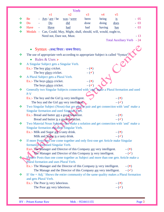|   |                                                                                                                        | Verb                                                          |                 |        |                                 |                      |
|---|------------------------------------------------------------------------------------------------------------------------|---------------------------------------------------------------|-----------------|--------|---------------------------------|----------------------|
|   | v <sub>1</sub>                                                                                                         | v2                                                            | v3              | v4     | v <sub>5</sub>                  |                      |
| ❖ | Be<br>Am / are / be                                                                                                    | was / were                                                    | been            | being  | $\frac{1}{1}$                   | $-05$                |
|   | Do<br>Do                                                                                                               | did                                                           | done            | doing  | does                            | $-03$                |
| ❖ | Have<br>Have                                                                                                           | had                                                           | had             | having | has                             | $-03$                |
| ❖ | <b>Modals</b><br>$\sim$ $-$                                                                                            | Can, Could, May, Might, shall, should, will, would, ought to, |                 |        |                                 |                      |
|   | Need not, Dare not, Must.                                                                                              |                                                               |                 |        |                                 | $-13$                |
|   |                                                                                                                        |                                                               |                 |        | <b>Total Auxiliary Verb</b>     | $-24$                |
|   |                                                                                                                        |                                                               |                 |        |                                 |                      |
|   | $Syn tax$ - (शब्द विचार / वाक्य विचार)                                                                                 |                                                               |                 |        |                                 |                      |
| ❖ | The use of appropriate verb according to appropriate Subject is called "Syntax"                                        |                                                               |                 |        |                                 |                      |
|   | Rules & Uses >                                                                                                         |                                                               |                 |        |                                 |                      |
| ❖ | A Singular Subject gets a Singular Verb.                                                                               |                                                               |                 |        |                                 |                      |
|   | Ex.:- The boy play cricket.                                                                                            |                                                               | $-({\bf x})$    |        |                                 |                      |
|   | The boy plays cricket.                                                                                                 |                                                               | $ (\checkmark)$ |        |                                 |                      |
| ❖ | A Plural Subject gets a Plural Verb.                                                                                   |                                                               |                 |        |                                 |                      |
|   | Ex.:- The boys plays cricket.                                                                                          |                                                               | $ (\times)$     |        |                                 |                      |
|   | The boys plays cricket.                                                                                                |                                                               | $ (\checkmark)$ |        |                                 |                      |
| ❖ | Generally two Singular Subjects connected with 'and' make a Plural formation and used                                  |                                                               |                 |        |                                 |                      |
|   | P.V                                                                                                                    |                                                               |                 |        |                                 |                      |
|   | Ex.:- The boy and the Girl is very intelligent.                                                                        |                                                               |                 |        | $-(\star)$                      |                      |
|   | The boy and the Girl are very intelligent.                                                                             |                                                               |                 |        | $-(\checkmark)$                 |                      |
| ❖ | Two Singular Subject (Noun) that are used in pair and get connection with 'and' make a                                 |                                                               |                 |        |                                 |                      |
|   | Singular formation and used Singular Verb.                                                                             |                                                               |                 |        |                                 |                      |
|   | Ex.:- Bread and butter are a good breakfast.                                                                           |                                                               |                 |        | $-({\bf x})$                    |                      |
|   | Bread and butter is a good breakfast.                                                                                  |                                                               |                 |        | $-(\checkmark)$                 |                      |
|   | Two Material Noun Subjects that make a solution and get connection with 'and' make a                                   |                                                               |                 |        |                                 |                      |
|   | Singular formation and disell'Singular Verb.                                                                           |                                                               |                 |        |                                 |                      |
|   | Ex.:- Milk and Sugar are a tasty drink.                                                                                |                                                               |                 |        | $-({\bf x})$<br>$ (\checkmark)$ |                      |
|   | Milk and Sugar is a tasty drink.                                                                                       |                                                               |                 |        |                                 |                      |
| ❖ | If more Posts then one come together and only first-one get Article make Singular<br>formation and used Singular Verb. |                                                               |                 |        |                                 |                      |
|   | Ex. The Manager and Director of this Company are very intelligent.                                                     |                                                               |                 |        |                                 | $-({\bf x})$         |
|   | The Manager and Director of this Company is very intelligent.                                                          |                                                               |                 |        |                                 | $-(\checkmark)$      |
|   | If more Posts than one come together as Subject and more than one gets Article make a                                  |                                                               |                 |        |                                 |                      |
|   | Plural formation and uses Plural Verb.                                                                                 |                                                               |                 |        |                                 |                      |
|   | Ex.:- The Manager and the Director of this Company is very intelligent.                                                |                                                               |                 |        |                                 | $-(x)$               |
|   | The Manage and the Director of this Company are very intelligent.                                                      |                                                               |                 |        |                                 | $-$ ( $\checkmark$ ) |
| ❖ | If 'the $+$ Adj.' Shows the entire community of the same quality makes a Plural formation                              |                                                               |                 |        |                                 |                      |
|   | and gets Plural Verb.                                                                                                  |                                                               |                 |        |                                 |                      |
|   | Ex.:- The Poor is very laborious.                                                                                      |                                                               |                 |        | $-({\bf x})$                    |                      |
|   | The Poor are very laborious.                                                                                           |                                                               |                 |        | $-(\checkmark)$                 |                      |
|   |                                                                                                                        |                                                               |                 |        |                                 |                      |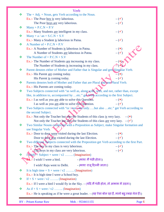|   | Verb                                                                                                           |
|---|----------------------------------------------------------------------------------------------------------------|
| ❖ | The $+$ Adj. $+$ Noun, gets Verb according to the Noun.                                                        |
|   | Ex.:- The Poor boy is very laborious.<br>$-(\checkmark)$                                                       |
|   | $-(\checkmark)$<br>The Poor boys are very laborious.                                                           |
| ❖ | $Many + P.C.N + P.V$                                                                                           |
|   | $-(\checkmark)$<br>Ex.:- Many Students are intelligent in my class.                                            |
| ❖ | Many + $a / an + S.C.N + S.V$                                                                                  |
|   | $-(\checkmark)$<br>Ex.:- Many a Student is laborious in Patna.                                                 |
| ❖ | A Number of $+$ P.C.N $+$ P.V                                                                                  |
|   | Ex.:- A Number of Students is laborious in Patna.<br>$-(\star)$                                                |
|   | A Number of Students are laborious in Patna.                                                                   |
| ❖ | The Number of $+$ P.C.N $+$ S.V                                                                                |
|   | Ex.:- The Number of Students are increasing in my class.                                                       |
|   | The Number of Students is increasing in my class.                                                              |
| ❖ | Parent denotes either of Mother and Father that is Singular and gets Singular Verb.                            |
|   | Ex.:- His Parent are coming today.<br>$=$ $(x)$                                                                |
|   | $-(\checkmark)$<br>His Parent is coming today.                                                                 |
| ❖ | Parents denotes both of Mother and Father that are Plural and use Plural Verb.                                 |
|   | Ex.:- His Parents are coming today.                                                                            |
| ❖ | Two Subjects connected with "as well as, along with with, and not, rather than, except                         |
|   | like, in addition to, accompanied by etc." get Very according to the first Subject.                            |
|   | Ex.:- I as well as you are able to solve this Question.<br>$-({\bf x})$                                        |
|   | I as well as you am able to solve this Question.<br>$ (\checkmark)$                                            |
| ❖ | Two Subjects connected with "or / nor Capt onlybut also etc." get Verb according to                            |
|   | the second Subject.<br>Ex.:- Not only the Teacher but also the Students of this class is very lazy.            |
|   | $-({\bf x})$<br>Not only the Teacher but also the Students of this class <u>are</u> very lazy. $-(\checkmark)$ |
| ❖ | Two Similar Nouns compected with a Preposition as Subject, make Singular formation and                         |
|   | use Singular Verb.                                                                                             |
|   | Ex.:- Door to door were visited during the last Election.<br>$-({\bf x})$                                      |
|   | Door to door was visited during the last Election.<br>$ (\checkmark)$                                          |
| ❖ | Two different Subjects connected with the Preposition get Verb according to the first Part.                    |
|   | Ex.:- The boy'in my class is very laborious.<br>$-(\checkmark)$                                                |
|   | The boys in my class are very laborious.<br>$-(\checkmark)$                                                    |
| ❖ | $I$ wish $\cancel{1}$ Subject + were / v2  (Imagination)                                                       |
|   | - (काश! मैं पंछी होता।)<br>$\mathbf{B}$ .: I wish! I were a bird.                                              |
|   | I wish! Raju went to Delhi. (काश! राजू दिल्ली जाता।)                                                           |
|   |                                                                                                                |
| ❖ | It is high time $+ S +$ were / v2  (Imagination)                                                               |
|   | Ex.:- It is high time I were a School boy.                                                                     |
| ❖ | If $+ S + were / v2$ (Imagination)                                                                             |
|   | Ex.:- If I were a bird I would fly in the Sky. – (यदि मैं पंछी होता, तो आकाश में उड़ता।)                       |
| ❖ | As if $+ S + were / v2$ (Imagination)                                                                          |
|   | Ex.:- He is speaking as if he were a great leader. – (वह ऐसा बोल रहा हैं, मानो बहु तबड़ा नेता हैं।)            |
|   |                                                                                                                |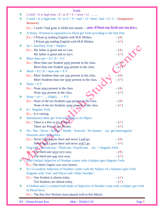|   | Verb                                                                                        |                 |
|---|---------------------------------------------------------------------------------------------|-----------------|
| ❖ | I wish! / It is high time / if / as if $+ S +$ were / v2                                    |                 |
| ❖ | I wish! / It is high time / if / as if $+ S + had + v3$ / been / had + O / C - (Imaginative |                 |
|   | Remorse)                                                                                    |                 |
|   | Ex.:- I wish! I had gone to Delhi last month. – (काश! मैं पिछले माह दिल्ली चला गया होता।)   |                 |
| ❖ | A Noun / Pronoun in opposition to Noun get Verb according to the first Part.                |                 |
|   | Ex.:- I Pritam is reading English with M.K Mishra.                                          | $-({\bf x})$    |
|   | I Pritam am reading English with M.K Mishra.                                                | $-(\checkmark)$ |
| ❖ | $So + Auxiliary Verb + Subject.$                                                            |                 |
|   | Ex.:- My father is good and so I am.                                                        | $-({\bf x})$    |
|   | My father is good and so am I.                                                              |                 |
| ❖ | More than one $+$ S.C.N $+$ S.V                                                             |                 |
|   | Ex.:- More than one Student were present in the class.                                      |                 |
|   | More than one Student was present in the class.                                             |                 |
| ❖ | More + $P.C.N$ + than one + $P.V$                                                           |                 |
|   | Ex.:- More Students than one was present in the class.                                      | $-({\bf x})$    |
|   | More Students than one were present in the class.                                           | $-(\checkmark)$ |
| ❖ | None $+ S.V$                                                                                |                 |
|   | Ex.:- None were present in the class.                                                       | $-({\bf x})$    |
|   | None was present in the class.                                                              | $-(\checkmark)$ |
| ❖ | None + of + $(Digit)$ + P.V                                                                 |                 |
|   | Ex.:- None of the ten Students was present in the class.                                    | $-({\bf x})$    |
|   | None of the ten Students were present in the class.                                         | $-(\checkmark)$ |
| ❖ | It + Singular Verb.                                                                         |                 |
|   | $Ex.:$ - It is raining.                                                                     |                 |
| ÷ | Introductory there get Verb according to its Object.                                        |                 |
|   | Ex.:- There is a Pen in my Pocket                                                           | $-(\checkmark)$ |
|   | There are Pens in my Pocket.                                                                | $-(\checkmark)$ |
| ❖ | No / Not / Never / Neither / Hardly / Scarcely / No Sooner etc. get Interrogative           |                 |
|   | Structure after the neglves.                                                                |                 |
|   | Ex.:- Never $\underline{\text{Have}}$ gone there and never $\underline{\text{I will}}$ go.  | $-({\bf x})$    |
|   | Never have I gone there and never will $I$ go.                                              | $-(\checkmark)$ |
| ❖ | First-one / Second-one / Third-one / Fourth-one etc. + Singular Verb.                       |                 |
|   | Ex.: The third-one were very easy.                                                          | $-({\bf x})$    |
|   | The third-one $\underline{was}$ very easy.                                                  | $-(\checkmark)$ |
|   | If an Ordinal Adjective of Number comes with a Subject gets Singular Verb.                  |                 |
|   | $Ex.:$ The third Umpire was very honest.                                                    |                 |
| ❖ | If a Co-ordinal Adjective of Number comes with the Subject of a Sentence gets Verb          |                 |
|   | Singular with 'One' and Plural with 'Other Number'.                                         |                 |
|   | Ex.:- One Student is absent today.                                                          | $-(\checkmark)$ |
|   | Ten Students are absent today.                                                              | $-(\checkmark)$ |
| ❖ | It Ordinal and Co-ordinal both kinds of Adjective of Number come with a Subject get Verb    |                 |
|   | in Plural form.                                                                             |                 |
|   | Ex.:- The first five Wickets have played well in this Match.                                |                 |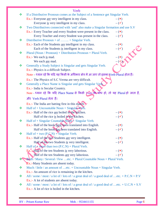|     | Verb                                                                                                                    |                 |
|-----|-------------------------------------------------------------------------------------------------------------------------|-----------------|
| ❖   | If a Distributive Pronoun comes as the Subject of a Sentence get Singular Verb.                                         |                 |
|     | Ex.:- Everyone are very intelligent in my class.                                                                        | $-({\bf x})$    |
|     | Everyone is very intelligent in my class.                                                                               | $-(\checkmark)$ |
| ❖   | Two Distributives connected with 'and' also make a Singular formation and use S.V                                       |                 |
|     | Ex.:- Every Teacher and every Student were present in the class.                                                        | $-({\bf x})$    |
|     | Every Teacher and every Student was present in the class.                                                               | $-(\checkmark)$ |
| ❖   | Distributive Pronoun + of  + Singular Verb.                                                                             |                 |
|     | Ex.:- Each of the Students are intelligent in my class.                                                                 | $-({\bf x})$    |
|     | Each of the Students is intelligent in my class.                                                                        | $-(\checkmark)$ |
| ❖   | Plural (Noun / Pronoun) + Distribution Pronoun + Plural Verb.                                                           |                 |
|     | Ex.:- We each is mad.                                                                                                   | $ (\star)$      |
|     | We each are mad.                                                                                                        |                 |
| ❖   | Generally a Study Subject is Singular and gets Singular Verb.                                                           |                 |
|     | Ex.:- Physics is a difficult Subject.                                                                                   |                 |
|     | Note – ध्यान रहें कि यदि यह किसी के अधिकार क्षेत्र में आ जाए तो इसका Nerb Plural होता हैं।                              |                 |
|     | Ex.:- The Physics of S.C Verma are very difficult.                                                                      |                 |
| ❖   | Generally a Place Name is Singular and gets Singular Verb.                                                              |                 |
|     | Ex.:- India is Secular Country.                                                                                         |                 |
|     | Note – ध्यान रहे कि यदि Place Name से किसी Team को बोध हो, तो यह Plural हो जाता हैं,                                    |                 |
|     | और Verb Plural लेता हैं।                                                                                                |                 |
|     | Ex.:- The India are batting first in this match.                                                                        |                 |
| ❖   | Half of + Uncountable Noun + Singular Verb.                                                                             |                 |
|     | Ex.:- Half of the rice are boiled in the kitchen.                                                                       | $-(\star)$      |
|     | Half of the rice is boiled in the kitchen.                                                                              | $-(\checkmark)$ |
| ❖   | Half of $+$ Singular Countable Norm $+$ Singular Verb.                                                                  |                 |
|     | Ex.:- Half of the book have been translated into English.                                                               | $-({\bf x})$    |
|     | Half of the book has been translated into English.                                                                      | $-(\checkmark)$ |
| ❖   | Half of + two $(P.C_nN)$ + Singular Verb.                                                                               |                 |
|     | Ex.:- Half of the two Students are very intelligent.                                                                    | $-({\bf x})$    |
|     | Half of the two Students is very intelligent.                                                                           | $-(\checkmark)$ |
| ❖   | Half of $\star$ more than two (P.C.N) + Plural Verb.                                                                    |                 |
|     | Ex.: Half of the ten Students is very laborious.                                                                        | $-({\bf x})$    |
| -76 | Half of the ten Students are very laborious.<br>Both / Many / Several / Few etc. + Plural Countable Noun + Plural Verb. | $-(\checkmark)$ |
|     | <b>Ex.:-Many Students are absent today.</b>                                                                             |                 |
| ❖   | Much / little / an amount of etc. + Uncountable Noun + Singular Verb.                                                   |                 |
|     | Ex.:- An amount of rice is remaining in the kitchen.                                                                    |                 |
| ❖   | All / some / most / a lot of / lots of / a great deal of / a good deal of etc. + P.C.N + P.V                            |                 |
|     | Ex.:- A lot of students are absent today.                                                                               |                 |
| ❖   | All / some / most / a lot of / lots of / a great deal of / a good deal of etc. + U.C.N + S.V                            |                 |
|     | Ex.:- A lot of rice is boiled in the kitchen.                                                                           |                 |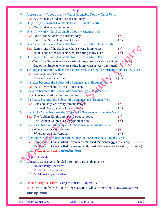|   | Verb                                                                                                                      |
|---|---------------------------------------------------------------------------------------------------------------------------|
| ❖ | A great many / A good many + Plural Countable Noun + Plural Verb.                                                         |
|   | Ex.:- A great many Students are absent today.                                                                             |
| ❖ | Only / Any + Singular Countable Noun + Singular Verb.                                                                     |
|   | Ex.:- One Student is absent today.                                                                                        |
| ❖ | One / Any + of + Plural Countable Noun + Singular Verb.                                                                   |
|   | Ex.:- One of the Students are absent today.<br>$-({\bf x})$                                                               |
|   | $ (\checkmark)$<br>One of the Students is absent today.                                                                   |
| ❖ | One / any + of + Plural Countable Noun + that / who + Plural Verb.                                                        |
|   | Ex.:- Ram is one of the Students who is sitting in my class.<br>$-({\bf x})$                                              |
|   | $-$ ( $\checkmark$ )<br>Ram is one of the Students who are sitting in my class.                                           |
| ❖ | One / any + of + Plural Countable Noun + that / who + P.V  + S.V                                                          |
|   | Ex.:-One of the Students who are sitting in my class are very intelligent.                                                |
|   | One of the Students who are sitting in my class is very intelligent.                                                      |
| ❖ | Two digits connected with and for addition make a Singular formation and used S. Verb.                                    |
|   | Ex.:- Two and two make four.<br>$=$ $(x)$                                                                                 |
|   | $-(\checkmark)$<br>Two and two makes four.                                                                                |
| ❖ | If a letter becomes the Subject of a Sentence gets Singular Verb.                                                         |
|   | $Ex.:$ 'A' is a vowel and 'B' is a Consonant.                                                                             |
| ❖ | If a word becomes the Subject of a Sentence gets Singular Verb.                                                           |
|   | Ex.:- Boys is a word that has four letters.                                                                               |
| ❖ | If a Phrase becomes the Subject of a Sentence gets Singular Verb.                                                         |
|   | Ex.:- Cats and Dogs are a very famous Phrase<br>$-({\bf x})$<br>$ (\checkmark)$<br>Cats and Dogs is a very famous Phrase. |
| ❖ | If a Books Name becomes the Subject of a Sentence gets Singular Verb.                                                     |
|   | Ex.:- The Arabian Knights are a very popular book.<br>$-({\bf x})$                                                        |
|   | The Arabian Knights is a very popular book.<br>$-(\checkmark)$                                                            |
| ≪ | If a Clause becomes the Subject of a Sentence gets Singular Verb.                                                         |
|   | Ex.:- Where to go are not certain.<br>$-({\bf x})$                                                                        |
|   | $ (\checkmark)$<br>Where to go is not certain.                                                                            |
| ❖ | If the Entire Sentence becomes the Subject of a Sentence gets Singular Verb.                                              |
|   | Ex.:- Ram went to Lanka, killed Ravan and enthroned Vibhishan are a true story.<br>$-({\bf x})$                           |
|   | Ram went to Lanka, killed Ravan and enthroned Vibhishan is a true story.<br>$-(\checkmark)$                               |
|   | • Causative Verb - प्रेरणार्थक क्रिया                                                                                     |
|   |                                                                                                                           |
|   | $Object + Verb$                                                                                                           |
|   | Generally Causative is divided into three parts in their sense.<br><b>Double Party Causative</b><br>(i)                   |
|   | <b>Triple Party Causative</b><br>(ii)                                                                                     |
|   | <b>Multiple Party Causative</b><br>(iii)                                                                                  |
|   |                                                                                                                           |
| ❖ | Double Party Causative – Subject + make + Object + $v1$                                                                   |
|   | Note - ध्यान रहे कि वाक्य संरचना में Causative (Object + Verb) पर Tense Structure का                                      |
|   | असर नहीं पड़ता।                                                                                                           |
|   |                                                                                                                           |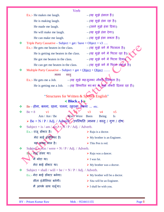|   | Verb                                                               |                                                                                                   |  |  |
|---|--------------------------------------------------------------------|---------------------------------------------------------------------------------------------------|--|--|
|   | Ex.:- He makes me laugh.                                           | – (वह मुझे हंसाता हैं।)                                                                           |  |  |
|   | He is making laugh.                                                | – (वह मुझे हंसा रहा है।)                                                                          |  |  |
|   | He made me laugh.                                                  | – (उसने मुझे हंसा दिया।)                                                                          |  |  |
|   | He will make me laugh.                                             | – (वह मुझे हंसा देगा।)                                                                            |  |  |
|   | He can make me laugh.                                              | – (वह मूझे हंसा सकता हैं।)                                                                        |  |  |
| ❖ | Triple Party Causative – Subject + get / have + Object + $v3$      |                                                                                                   |  |  |
|   | Ex.:- He gets me beaten in the class.                              | – (वह मुझे वर्ग में पिटवाता है।)                                                                  |  |  |
|   | He is getting me beaten in the class.                              | - (वह मुझे वर्ग में पिटवा रहा है।)                                                                |  |  |
|   | He got me beaten in the class.                                     | − (वह मुझे वर्ग में पिटवा दिया।)                                                                  |  |  |
|   | He can get me beaten in the class.                                 | - (वह मुझे वर्ग में पिट्रवा सकता है।)                                                             |  |  |
| ❖ | Multiple Party Causative - Subject + get + $Object + Object$       |                                                                                                   |  |  |
|   | मानव<br>वस्त्                                                      |                                                                                                   |  |  |
|   | Ex.:- He gets me a Job.                                            | - (वह मुझे कह-सुनकर नौकरी दिलवाता है।)                                                            |  |  |
|   |                                                                    | He is getting me a Job. $-(\overline{a}\overline{b})$ सिफारिस कर-कर के मुझे नौकरी दिलवा रहा हैं।) |  |  |
|   |                                                                    |                                                                                                   |  |  |
|   | "Structures for Written & Spoken English"                          |                                                                                                   |  |  |
|   | $\triangleleft Block_{\#} \&$                                      |                                                                                                   |  |  |
| ❖ | Be - होना, बनना, रहना, चलना, ठहुरना, रुकना  etc.                   |                                                                                                   |  |  |
| ❖ | $Be = 8$<br>v <sub>1</sub><br>Was/Were<br>Am / Are / Be            | v <sub>3</sub><br>v <sub>4</sub><br>v <sub>5</sub><br>Been<br><b>Being</b><br>Is                  |  |  |
|   | > Be + N / P / Adj. / Adverb →उपस्थिति (मानव / वस्तु / गुण / दोष)  |                                                                                                   |  |  |
| ❖ | Subject + is / am / $\text{arg}$ + $\text{N}$ / P / Adj. / Adverb. |                                                                                                   |  |  |
|   | Ex.:- राजू डॉक्टर है।                                              | $\triangleright$ Raju is a doctor.                                                                |  |  |
|   | मेरा भाई इंजीनियर है।                                              | $\triangleright$ My brother is an Engineer.                                                       |  |  |
|   | यह कलम लाल है।                                                     | $\triangleright$ This Pen is red.                                                                 |  |  |
| ≪ | Subject was / were $+ N / P / Adj$ . / Adverb.                     |                                                                                                   |  |  |
|   | <b>Ex: रॉज़ू</b> डांसर था।                                         | $\triangleright$ Raju was a dancer.                                                               |  |  |
|   | मैं मोटा था।                                                       | $\triangleright$ I was fat.                                                                       |  |  |
|   | मेरा भाई डॉक्टर था।                                                | $\triangleright$ My brother was a doctor.                                                         |  |  |
|   | Subject + shall / will + be / + N / P / Adj. / Adverb.             |                                                                                                   |  |  |
|   | Ex.:- मेरा भाई डॉक्टर बनेगा।                                       | $\triangleright$ My brother will be a doctor.                                                     |  |  |
|   | सीता इंजीनियर बनेगी।                                               | $\triangleright$ Sita will be an Engineer.                                                        |  |  |
|   | मैं आपके साथ चलूँगा।                                               | $\triangleright$ I shall be with you.                                                             |  |  |
|   |                                                                    |                                                                                                   |  |  |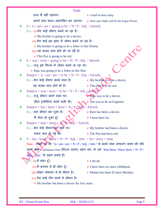|   | Verb                                                                                                                    |                                                                                             |
|---|-------------------------------------------------------------------------------------------------------------------------|---------------------------------------------------------------------------------------------|
|   | आज मैं यहीं ठहरुंगा।                                                                                                    | $\triangleright$ I shall be here today.                                                     |
|   | अगले साल भारत महाशक्ति बन जाएगा।                                                                                        | $\triangleright$ Next year India will be the Super Power.                                   |
| ❖ | $S + is / am / are + going to be + N / P / Adj. / Adverb.$                                                              |                                                                                             |
|   | Ex.:- (i) मेरा भाई डॉक्टर बनने जा रहा है।                                                                               |                                                                                             |
|   | $\triangleright$ My brother is going to be a doctor.                                                                    |                                                                                             |
|   | (ii) मेरा भाई इस ड्रामा में जोकर बनने जा रहा है।                                                                        |                                                                                             |
|   | $\triangleright$ My brother is going to be a Joker in this Drama.                                                       |                                                                                             |
|   | (iii) यह कलम लाल होने को जा रही है।                                                                                     | DEFE                                                                                        |
|   | $\triangleright$ This Pen is going to be red.                                                                           |                                                                                             |
| ❖ | $S + was / were + going to be + N / P / Adj. / Ady.$                                                                    |                                                                                             |
|   | Ex.:- राजू इस फिल्म में जोकर बनने जा रहा था।                                                                            |                                                                                             |
| ❖ | $\triangleright$ Raju was going to be a Joker in this film.<br>Subject + is / am / are + to be + N / P / Adj. / Adverb. |                                                                                             |
|   | Ex.:- मेरा भाई डॉक्टर बनने वाला है।                                                                                     | $\triangleright$ My brother is to be a doctor.                                              |
|   | यह कलम लाल होने को है।                                                                                                  | $\triangleright$ This Pen is to be red.                                                     |
| ❖ | Subject + was / were + to be + N / P / Adj. $\angle$ Adverb.                                                            |                                                                                             |
|   | Ex.:- राजू डॉक्टर बनने वाला था।                                                                                         | Raju was to be a doctor.                                                                    |
|   | सीता इंजीनियर बनने वाली थी।                                                                                             | $\triangleright$ Sita was to be an Engineer.                                                |
| ❖ | Subject + has / have + been + $N / P / \Delta d$ . / Adverb.                                                            |                                                                                             |
|   | Ex.:- राम डॉक्टर बन चुका है।                                                                                            | $\triangleright$ Ram has been a doctor.                                                     |
|   | मैं मोटा हो चुका हूँ।                                                                                                   | $\triangleright$ I have been fat.                                                           |
|   | Subject + had + been $+ N / P / Adj$ . / Adverb.                                                                        |                                                                                             |
|   | Ex.:- मेरा भाई डॉक्टर बून गयाँ था।                                                                                      | $\triangleright$ My brother had been a doctor.                                              |
|   | कलम लाल हो गई थी।                                                                                                       | $\triangleright$ The Pen had been red.                                                      |
| ❖ | $S + has / have + been + N / P / Adj. / Adv. + for / since + time.$                                                     |                                                                                             |
|   |                                                                                                                         | Note – ध्यान एहें कि "is / am / are + N / P / Adj. / Adv." से बनने वाला साधारण वाक्य भी यदि |
|   |                                                                                                                         | अपने साथ Continuous time (निरंतर समय) ग्रहण करें, तो उसे "Has been / Have been + N / P /    |
|   | Adj / Adv." के सहारे बनाते हैं।                                                                                         |                                                                                             |
|   | $\overline{\text{Ex}}$ :- (i) मैं मोटा हूँ।                                                                             | $\triangleright$ I am fat.                                                                  |
|   | (ii) मैं बचपन से ही मोटा हूँ।                                                                                           | $\triangleright$ I have been fat since childhood.                                           |
|   | (iii) मोहन सोमवार से ही बीमार है।                                                                                       | $\triangleright$ Mohan has been ill since Monday.                                           |
|   | (iv) मेरा भाई पाँच सालों से डॉक्टर है।                                                                                  |                                                                                             |
|   | $\triangleright$ My brother has been a doctor for five years.                                                           |                                                                                             |
|   |                                                                                                                         |                                                                                             |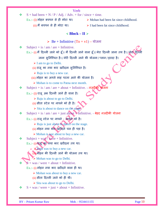|   | Verb                                                                                          |                                                                                                     |
|---|-----------------------------------------------------------------------------------------------|-----------------------------------------------------------------------------------------------------|
| ≪ | $S + had been + N / P / Adj. / Adv. + for / since + time.$                                    |                                                                                                     |
|   | $Ex$ .:- (i) मोहन बचपन से ही मोटा था।                                                         | $\triangleright$ Mohan had been fat since childhood.                                                |
|   | (ii) मैं बचपन से ही मोटा था।                                                                  | $\triangleright$ I had been fat since childhood.                                                    |
|   | $\triangleleft Block - II \triangleright$                                                     |                                                                                                     |
|   | ≻ Be + Infinitive $(To + v1)$ – योजना                                                         |                                                                                                     |
| ❖ | Subject $+$ is / am / are $+$ Infinitive.                                                     |                                                                                                     |
|   |                                                                                               | Ex.:- (i) मैं दिल्ली जाने को हूँ।/ मैं दिल्ली जाने वाला हूँ।/ मेरा दिल्ली जाना तय है। / मेरा दिल्ली |
|   |                                                                                               | जाना सुनिश्चित है। / मेरी दिल्ली जाने की योजना / प्लान / इरादा है।                                  |
|   | $\triangleright$ I am to go to Delhi.                                                         |                                                                                                     |
|   | (ii) राजू का नया कार खरीदना सुनिश्चित है।                                                     |                                                                                                     |
|   | $\triangleright$ Raju is to buy a new car.                                                    |                                                                                                     |
|   | (iii) मोहन का अगले माह पटना आने की योजना है।                                                  |                                                                                                     |
|   | $\triangleright$ Mohan is to come to Patna next month.                                        |                                                                                                     |
| ❖ | Subject + is / am / are + about + Infinitive. – नज़दीकी स्रोजना                               |                                                                                                     |
|   | Ex.:- (i) राजू अब दिल्ली जाने ही वाला है।                                                     |                                                                                                     |
|   | $\triangleright$ Raju is about to go to Delhi.                                                |                                                                                                     |
|   | (ii) सीता स्टेज पर नाचने को ही है।                                                            |                                                                                                     |
|   | $\triangleright$ Sita is about to dance on the stage.                                         |                                                                                                     |
|   | Subject + is / am / are + just about + Infinitive. $-\frac{1}{2}$ नजदीकी योजना                |                                                                                                     |
|   | Ex.:- (i) राजू स्टेज पर नाचने - बार्चेने को है।                                               |                                                                                                     |
|   | > Raju is just about to dance on the stage.                                                   |                                                                                                     |
|   | (ii) मोहन नया कार खरीदने चल ही पड़ा है।                                                       |                                                                                                     |
| ❖ | > Mohan is just about to buy a new car.<br>Subject + $\text{wag}^{\prime}$ were + Infinitive. |                                                                                                     |
|   | Ex.:- (i) कर का नया कार खरीदना तय था।                                                         |                                                                                                     |
|   | <b>X</b> Raju was to buy a new car.                                                           |                                                                                                     |
|   | (ii) मोहन की दिल्ली जाने की योजना तय था।                                                      |                                                                                                     |
|   | $\triangleright$ Mohan was to go to Delhi.                                                    |                                                                                                     |
|   | $\frac{1}{2}$ + was / were + about + Infinitive.                                              |                                                                                                     |
|   | $Ex.$ :- (i) मोहन नया कार खरीदने वाला ही था।                                                  |                                                                                                     |
|   | $\triangleright$ Mohan was about to buy a new car.                                            |                                                                                                     |
|   | (ii) सीता दिल्ली जाने को ही थी।                                                               |                                                                                                     |
|   | $\triangleright$ Sita was about to go to Delhi.                                               |                                                                                                     |
|   | $S + was / were + just + about + Infinite.$                                                   |                                                                                                     |
|   |                                                                                               |                                                                                                     |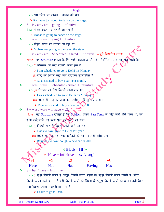|   |                                                            |                                         | Verb                                                        |                                                     |                                                                                                 |         |
|---|------------------------------------------------------------|-----------------------------------------|-------------------------------------------------------------|-----------------------------------------------------|-------------------------------------------------------------------------------------------------|---------|
|   | $Ex.$ :- राम स्टेज पर नाचने - नाचने को था।                 |                                         |                                                             |                                                     |                                                                                                 |         |
|   |                                                            |                                         | $\triangleright$ Ram was just about to dance on the stage.  |                                                     |                                                                                                 |         |
| ≪ | $S + is / am / are + going + infinity.$                    |                                         |                                                             |                                                     |                                                                                                 |         |
|   | $Ex$ .:- मोहन स्टेज पर नाचने जा रहा है।                    |                                         |                                                             |                                                     |                                                                                                 |         |
|   |                                                            |                                         | $\triangleright$ Mohan is going to dance on the stage.      |                                                     |                                                                                                 |         |
| ❖ | $S + was / were + going + Infinite.$                       |                                         |                                                             |                                                     |                                                                                                 |         |
|   | $Ex.$ :- मोहन स्टेज पर नाचने जा रहा था।                    |                                         |                                                             |                                                     |                                                                                                 |         |
|   |                                                            |                                         | $\triangleright$ Mohan was going to dance on the stage.     |                                                     |                                                                                                 |         |
|   |                                                            |                                         |                                                             |                                                     | $S + is / am / are + Scheduled / Slated + Infinite. - पूर्व निर्धारित समय$                      |         |
|   |                                                            |                                         |                                                             |                                                     | Note - यह Structure दर्शाता है, कि कोई योजना अपने पूर्व-निर्धारित समय पर होने वाली है।          |         |
|   | Ex.:- (i) सोमवार को मेरा दिल्ली जाना तय है।                |                                         |                                                             |                                                     |                                                                                                 |         |
|   |                                                            |                                         | $\triangleright$ I am scheduled to go to Delhi on Monday.   |                                                     |                                                                                                 |         |
|   |                                                            |                                         | (ii) राजू का अगले माह कार खरीदना सुनिश्चित है।              |                                                     |                                                                                                 |         |
|   |                                                            |                                         | $\triangleright$ Raju is slated to buy a car next month.    |                                                     |                                                                                                 |         |
|   | $S + was / were + Scheduled / Slated + Infinite.$          |                                         |                                                             |                                                     |                                                                                                 |         |
|   | $Ex$ .:- (i) सोमवार को मेरा दिल्ली जाना तय था।             |                                         |                                                             |                                                     |                                                                                                 |         |
|   |                                                            |                                         | $\triangleright$ I was scheduled to go to Delhi on Monday.  |                                                     |                                                                                                 |         |
|   |                                                            |                                         |                                                             | (ii) 2005 में राजू का नया कार खरीदना बिल्कुल तय था। |                                                                                                 |         |
|   |                                                            |                                         | $\triangleright$ Raju was slated to buy a new car in 2005.  |                                                     |                                                                                                 |         |
| ❖ | $S + was / were + to have + v3.$                           |                                         |                                                             |                                                     |                                                                                                 |         |
|   |                                                            |                                         |                                                             |                                                     | Note – यह Structure दर्शाता है कि Subject दवारा Past Tense में कोई कार्य होने वाला था, पर       |         |
|   | हुआ नहीं यानि वह कार्य पूरा होते होते रह गया।              |                                         |                                                             |                                                     |                                                                                                 |         |
|   | Ex.:- (i) पिछले माह मैं दिल्ली जाते जाते रह गया।           |                                         |                                                             |                                                     |                                                                                                 |         |
|   | $\triangleright$ I was to have gone to Delhi last year.    |                                         |                                                             |                                                     |                                                                                                 |         |
|   | (ii) 2005 में राज, नया कार खरीदने को था, पर नहीं खरीद सका। |                                         |                                                             |                                                     |                                                                                                 |         |
|   |                                                            |                                         | $\triangleright$ Raju was to have bought a new car in 2005. |                                                     |                                                                                                 |         |
|   |                                                            |                                         | $\triangleleft Block - III$                                 |                                                     |                                                                                                 |         |
|   |                                                            |                                         | $\frac{1}{2}$ Have + Infinitive – फर्ज / मजबूरी             |                                                     |                                                                                                 |         |
|   |                                                            |                                         |                                                             |                                                     |                                                                                                 |         |
|   | Have                                                       | v2<br>Had                               | v3<br>Had                                                   | v <sub>4</sub>                                      | v <sub>5</sub>                                                                                  |         |
|   | $S +$ has / have + Infinitive.                             |                                         |                                                             | <b>Having</b>                                       | <b>Has</b>                                                                                      |         |
|   |                                                            |                                         |                                                             |                                                     | Ex.:- (i) मुझे दिल्ली जाना है। / मुझे दिल्ली जाना पड़ता है। / मुझे दिल्ली जाना जरूरी है। / मेरा |         |
|   |                                                            |                                         |                                                             |                                                     |                                                                                                 |         |
|   |                                                            |                                         |                                                             |                                                     | दिल्ली जाना फर्ज बनता है।/मैं दिल्ली जाने को विवश हूँ।/मुझे दिल्ली जाने को हालत बनी है।/        |         |
|   | मेरी दिल्ली जाना मजबूरी हो गया है।                         |                                         |                                                             |                                                     |                                                                                                 |         |
|   |                                                            | $\triangleright$ I have to go to Delhi. |                                                             |                                                     |                                                                                                 |         |
|   | <b>BY</b> - Pritam Kumar Raw                               |                                         |                                                             | Mob. - 9534411155                                   |                                                                                                 | Page 11 |
|   |                                                            |                                         |                                                             |                                                     |                                                                                                 |         |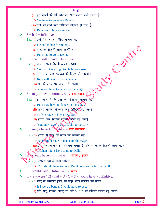|    | Verb                                                                                                              |
|----|-------------------------------------------------------------------------------------------------------------------|
|    | (ii) हम लोगों को माँ - बाप का सेवा करना फर्ज बनता है।                                                             |
|    | $\triangleright$ We have to serve our Parents.                                                                    |
|    | (iii) राजू को नया कार खरीदना लाज़मी हो गया है।                                                                    |
|    | $\triangleright$ Raju has to buy a new car.                                                                       |
| ∙⊱ | $S + had + Infinite.$                                                                                             |
|    | $Ex.$ :- (i) उसे पैसे के लिए भीख माँगना पड़ा।                                                                     |
|    | $\triangleright$ He had to beg for money.<br>(ii) राजू को दिल्ली जाना जरूरी था।                                   |
|    | $\triangleright$ Raju had to go to Delhi.                                                                         |
| ❖  | $S + shall / will + have + Infinite.$                                                                             |
|    | <b>PARK</b><br>$Ex.$ :- (i) कल आपको दिल्ली जाना पड़ेगा।                                                           |
|    | $\triangleright$ You will have to go to Delhi tomorrow.                                                           |
|    | (ii) राजू नया कार खरीदने को विवश हो जाएगा।                                                                        |
|    | $\triangleright$ Raju will have to buy a new car.                                                                 |
|    | (iii) आपको स्टेज पर नाचना ही होगा।                                                                                |
|    | $\triangleright$ You will have to dance on the stage.                                                             |
| ❖  | $S + may + have + Infinite. - \overline{\sigma}$ यादा संभावन्                                                     |
|    | Ex.:- (i) हो सकता है कि राजू को स्टेज पर नाचना पड़ें।                                                             |
|    | $\triangleright$ Raju may have to dance on the stage.                                                             |
|    | (ii) शायद मोहन को नया कार खरीदना पड़ जाए।                                                                         |
|    | $\triangleright$ Mohan have to buy a new car.                                                                     |
|    | (iii) शायद कल आपको दिल्ली जाना पड़ जाए।                                                                           |
|    | > You may have to go to Delhi tomorrow.                                                                           |
| ❖  | $S + \text{might have} + \text{Infinite}$                                                                         |
|    | Ex.:- (i) शायद ही राजू को स्टेज पर नाचना पड़े।                                                                    |
|    | $\triangleright$ Raju might have to dance on the stage.                                                           |
|    | <u>(ii) इस बात</u> की कम ही संभावना बनती है, कि मोहन को दिल्ली जाना पड़ेगा।                                       |
|    | Mohan might have to go to Delhi.<br>$S +$ should have + Infinitive. – इच्छा / सलाह                                |
|    |                                                                                                                   |
|    | $Ex:=$ (i) आपको दवा ले लेनी चाहिए।<br>$\triangleright$ You should have to go to Delhi because his brother is ill. |
| ❖  | $S +$ would have + Infinitive. $-$ ख्वाब                                                                          |
| ❖  | If $+ S +$ were / v2 / had $+ O / C + S +$ would have $+$ Infinitive.                                             |
|    | Ex.:- (i) यदि मैं भिखारी होता, तो मुझे भीख माँगना पड़ जाता।                                                       |
|    | $\triangleright$ If I were a beggar I would have to beg.                                                          |
|    | (ii) यदि राजू दिल्ली जाता, तो उसे 500 रु की नौकरी करनी पड़ जाती।                                                  |
|    |                                                                                                                   |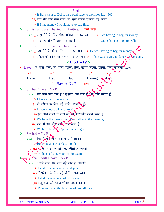|                                                                              |                                                                                                   | Verb                                                                                 |               |                                                                                                     |  |
|------------------------------------------------------------------------------|---------------------------------------------------------------------------------------------------|--------------------------------------------------------------------------------------|---------------|-----------------------------------------------------------------------------------------------------|--|
| $\triangleright$ If Raju went to Delhi, he would have to work for Rs. - 500. |                                                                                                   |                                                                                      |               |                                                                                                     |  |
| (iii) यदि मेरे पास पैसा होता, तो मुझे फाईन चुकाना पड़ जाता।                  |                                                                                                   |                                                                                      |               |                                                                                                     |  |
| $\triangleright$ If I had money I would have to pay fine.                    |                                                                                                   |                                                                                      |               |                                                                                                     |  |
| ❖                                                                            |                                                                                                   | $S + \frac{is}{am}/\frac{are}{are} + \text{having} + \text{Infinitive}.$ – कार्यजारी |               |                                                                                                     |  |
|                                                                              |                                                                                                   | Ex.:- (i) मुझे पैसे के लिए भीख माँगना पड़ रहा है।                                    |               | $\triangleright$ I am having to beg for money.                                                      |  |
|                                                                              | (ii) राजू को दिल्ली जाना पड़ रहा है।                                                              |                                                                                      |               | $\triangleright$ Raju is having to go to Delhi.                                                     |  |
| ❖                                                                            | $S + was / were + having + Infinite.$                                                             |                                                                                      |               |                                                                                                     |  |
|                                                                              |                                                                                                   |                                                                                      |               | Ex.:- (i) उसे पैसे के भीख माँगना पड़ रहा था। $\triangleright$ He was having to beg for money        |  |
|                                                                              |                                                                                                   |                                                                                      |               | (ii) मोहन को स्टेज पर नाचना पड़ रहा था। > Mohan was having to dance on the stage.                   |  |
|                                                                              |                                                                                                   | $\triangleleft Block - IV \triangleright$                                            |               |                                                                                                     |  |
|                                                                              |                                                                                                   |                                                                                      |               | $\triangleright$ $\rm\;Have$ – के पास होना, को होना, रखना, लेना, ग्रहण करना, खाना, पीना, पहनना etc. |  |
| v <sub>1</sub>                                                               | v2                                                                                                | v <sub>3</sub>                                                                       | v4            |                                                                                                     |  |
| Have                                                                         | Had                                                                                               | Had                                                                                  | <b>Having</b> | <b>Has</b>                                                                                          |  |
|                                                                              |                                                                                                   | ≻ Have + N / P – अधिकार                                                              |               |                                                                                                     |  |
| $S + has / have + N / P$<br>❖                                                |                                                                                                   |                                                                                      |               |                                                                                                     |  |
|                                                                              |                                                                                                   | $Ex.$ :- (i) मेरे पास एक कार है / मुझको एक कार है / मैं कार रखता हूँ।                |               |                                                                                                     |  |
|                                                                              | $\triangleright$ I have a car. / I take a car.                                                    |                                                                                      |               |                                                                                                     |  |
| (ii) मैं परीक्षा के लिए नई नीति अपनाता हूँ $\blacktriangleright$             |                                                                                                   |                                                                                      |               |                                                                                                     |  |
| $\triangleright$ I have a new policy for example.                            |                                                                                                   |                                                                                      |               |                                                                                                     |  |
| (iii) हम लोग सुबह में दादा जी का आंशीर्वाद ग्रहण करते है।                    |                                                                                                   |                                                                                      |               |                                                                                                     |  |
| $\triangleright$ We have the blessing of Grandfather in the morning.         |                                                                                                   |                                                                                      |               |                                                                                                     |  |
|                                                                              | (iv) रात में हम लोग रोटी - दाल खाते है।<br>$\triangleright$ We have bread and pulse eat at night. |                                                                                      |               |                                                                                                     |  |
| $S + had + N / P$                                                            |                                                                                                   |                                                                                      |               |                                                                                                     |  |
| ❖                                                                            |                                                                                                   | Ex.:- (i) पिछले भाँह राजू नया कार ले लिया।                                           |               |                                                                                                     |  |
|                                                                              | $\triangleright$ Required a new car last month.                                                   |                                                                                      |               |                                                                                                     |  |
|                                                                              |                                                                                                   | (ii) मोहन परीक्षा के लिए नई नीति अपनाया।                                             |               |                                                                                                     |  |
|                                                                              |                                                                                                   | Mohan had a new policy for exam.                                                     |               |                                                                                                     |  |
|                                                                              | $S + \delta h$ all / will + have + N / P                                                          |                                                                                      |               |                                                                                                     |  |
|                                                                              |                                                                                                   | Ex.:- (i) अगले साल मेरे पास नई कार हो जाएगी।                                         |               |                                                                                                     |  |
|                                                                              | $\triangleright$ I shall have a new car next year.                                                |                                                                                      |               |                                                                                                     |  |
|                                                                              |                                                                                                   | (ii) मैं परीक्षा के लिए नई नीति अपनाऊँगा।                                            |               |                                                                                                     |  |
|                                                                              |                                                                                                   | $\triangleright$ I shall have a new policy for exam.                                 |               |                                                                                                     |  |
|                                                                              |                                                                                                   | (iii) राजू दादा जी का आशीर्वाद ग्रहण करेगा।                                          |               |                                                                                                     |  |
|                                                                              |                                                                                                   | $\triangleright$ Raju will have the blessing of Grandfather.                         |               |                                                                                                     |  |
|                                                                              |                                                                                                   |                                                                                      |               |                                                                                                     |  |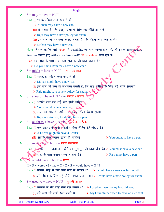**Example 2018** Verb  $\div$  S + may + have + N / P Ex.:- (i) शायद मोहन नया कार ले ले। Mohan may have a new car. (ii) हो सकता है, कि राजू परीक्षा के लिए नई नीति अपनावे।  $\triangleright$  Raju may have a new policy for exam. (iii) इस बात की संभावना ज्यादा बनती है, कि मोहन नया कार ले लेगा।  $\triangleright$  Mohan may have a new car.  $Note - \xi$ यान रहे कि यदि 'May' से Possibility का भाव व्यक्त होता हो, तो उसका Interrogative Structure बनाने हेतु Affirmative Structure में 'Do you think' जोड़ देते है।  $Ex$ .:- क्या राम के पास नया कार होने का संभावना बनता है? ▶ Do you think Ram may have a new car?  $\div$  S + might + have + N / P – कम संभावना  $Ex.:-$  (i) शायद ही मोहन नया कार ले ले। Mohan might have a new car. (ii) इस बात की कम ही संभावना बनती है, कि राजू परीक्षा के लिए नई नीति अपनावे।  $\triangleright$  Raju might have a new policy for exam.  $\div$  S + should + have + N / P – इच्छा / सलाह  $Ex.$ :- (i) आपके पास एक नई कार होनी चाहिए।  $\triangleright$  You should have a new car. (ii) राजू एक छाğ है, उसके पास कलम होना बेहतर होगा।  $\triangleright$  Raju is a student, he should have a pen.  $\bullet$  S + <u>ought to</u> + have + N **/ P – नै**तिक अधिकार Ex.:- (i) एक ड़ाईवर के पास लॉइसेंस होना नैतिक ज़िम्मेदारी है।  $\triangleright$  A Driver ought to have a license. (ii) आपके पास कलम रहना ही चाहिए।  $\triangleright$  You ought to have a pen.  $\div$  S + must have  $\div$  N / P – प्रबल संभावना Ex. (i) आपके पास नया कार होने का पूरा-पूरा संभावना बंता है।  $\triangleright$  You must have a new car. (ii) राजू के पास कलम रहना लाज़मी है।  $\blacktriangleright$  Raju must have a pen.  $S +$  would have  $+ N / P - \overline{c}$ वाब If  $+ S +$  were / v2 / had  $+ O/C + S +$  would have  $+ N/P$ Ex.:- (i) पिछले माह मैं एक नया कार ले सकता था।  $\triangleright$  I could have a new car last month. (ii) मैं परीक्षा के लिए नई नीति अपना सकता था।  $\triangleright$  I could have a new policy for exam.  $\div$  S + used to + have + N / P – पुरानी आदत Ex.:- (i) बचपन में मेरे पास पैसा रहा करता था।  $\triangleright$  I used to have money in childhood. (ii) मेरे दादा जी हाथी रखा करते थे।  $\rightarrow$  My Grandfather used to have an elephant.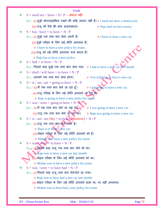|   | Verb                                                                                                     |
|---|----------------------------------------------------------------------------------------------------------|
| ❖ | $S + need not + have + N / P - \pi \sqrt{r}$ नहीं                                                        |
|   | Ex.:- (i) मुझे मोटरसाइकिल रखने की कोई जरूरत नहीं हैं। > I need not have a motorcycle.                    |
|   | (ii) राजू को पैसे की क्या आवश्यकता।<br>$\triangleright$ Raju need not have money.                        |
| ❖ | $S +$ has / have + to have + N / P                                                                       |
|   | Ex.:- (i) मुझे एक नया कार लेना जरूरी हैं।<br>$\triangleright$ I have to have a new car.                  |
|   | (ii) मुझे परीक्षा के लिए नई नीति अपनाना है।                                                              |
|   | $\triangleright$ I have to have a new policy for exam.                                                   |
|   | INE<br>(iii) राजू को नई नीति अपनाना फर्ज बनता हैं।                                                       |
|   | $\triangleright$ Raju has to have a new policy.                                                          |
| ❖ | $S + had + to have + N / P$                                                                              |
|   | Ex.:- पिछले माह मुझे एक नया कार लेना पड़ा। > I had to have a new car last month.                         |
| ❖ | $S + shall / will have + to have + N / P$                                                                |
|   | $\triangleright$ You will have to have a new car.<br>Ex.:- आपको एक नया कार लेना होगा।                    |
| ❖ | $S + is / am / are + going to have + N / P$                                                              |
|   | Ex.:- (i) मैं एक नया कार लेने जा रहा हूँ।<br>$\triangleright$ I am going to have a new car.              |
|   | (ii) राजू परीक्षा के लिए नई नीति अपनाने जा रहा है।                                                       |
|   | $\triangleright$ Raju is going to have a new policy for example.                                         |
| ❖ | $S + was / were + going to have + N / R/$                                                                |
|   | $Ex.$ :- (i) मैं एक नया कार लेने जा रहा थ $\mathbb Q$<br>$\triangleright$ I was going to have a new car. |
|   | (ii) राजू एक नया कार लेने जा रहा था।<br>$\triangleright$ Raju was going to have a new car.               |
| ❖ | $S + is / am / are (be) + to have$ Infinitive) + N / P                                                   |
|   | Ex.:- (i) राजू एक नया कार बेने वाला है।                                                                  |
|   | $\triangleright$ Raju is to have a pew car.                                                              |
|   | (ii) मोहन परीक्षा के लिए नई नीति अपनाने को है।                                                           |
| ❖ | $\triangleright$ Mohan is to have a new policy for exam.<br>$S + was$ were + to have + N / P             |
|   | $\text{Ex}_{\mathcal{S}^-}$ (i) पिछले माह राजू एक नया कार लेने को था।                                    |
|   | Raju was to have a new car last month.                                                                   |
|   | (ii) मोहन परीक्षा के लिए नई नीति अपनाने को था।                                                           |
|   | $\triangleright$ Mohan was to have a new policy for exam.                                                |
| ❖ | $S + was / were + to have had + N / P$                                                                   |
|   | Ex.:- (i) पिछले माह राजू नया कार लेते-लेते रह गया।                                                       |
|   | $\triangleright$ Raju was to have had a new car last month.                                              |
|   | (ii) मोहन परीक्षा के लिए नई नीति अपनाने वाला था, पर नहीं अपनाया।                                         |
|   | $\triangleright$ Mohan was to have had a new policy for exam.                                            |
|   |                                                                                                          |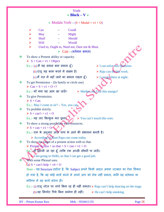|   |                                                |                                                              | Verb<br>$\triangleleft Block - V \triangleright$            |                                                                                            |
|---|------------------------------------------------|--------------------------------------------------------------|-------------------------------------------------------------|--------------------------------------------------------------------------------------------|
|   |                                                |                                                              | $\triangleleft$ Modals Verb – $(S + \text{Modal} + v1 + O)$ |                                                                                            |
|   | ➤                                              | Can                                                          | Could                                                       |                                                                                            |
|   | $\blacktriangleright$<br>$\blacktriangleright$ | May<br>Shall                                                 | Might<br>Should                                             |                                                                                            |
|   | $\blacktriangleright$                          | Will                                                         | Would                                                       |                                                                                            |
|   | $\blacktriangleright$                          |                                                              | Used to, Ought to, Need not, Dare not & Must.               |                                                                                            |
|   |                                                |                                                              | $\triangleright$ $Can$ – (वर्तमान क्षमता)                   |                                                                                            |
| ❖ |                                                | To show a Present ability or capacity.                       |                                                             |                                                                                            |
|   |                                                | $\triangleright$ S + Can + v1 + Object                       |                                                             |                                                                                            |
|   |                                                | $Ex.$ :- (a) मैं यह सवाल बना सकता हूँ।                       |                                                             | $\triangleright$ I can solve this Question.                                                |
|   |                                                | (b) राजू यह काम करने में सक्षम है।                           |                                                             | > Raju can dothis work.                                                                    |
|   |                                                |                                                              | (c) मैं रात में वहाँ जाने का क्षमता रखता हूँ।               | $\triangleright$ I can go there at night.                                                  |
| ❖ |                                                |                                                              | To get Permission – (In family or circle use)               |                                                                                            |
|   |                                                | $\triangleright$ Can + S + v1 + O +?                         |                                                             |                                                                                            |
|   |                                                | $Ex.$ :- माँ क्या यह आम खा जाऊँ?                             |                                                             | $\triangleright$ Mother can Leat this mango?                                               |
| ❖ |                                                | To give Permission.                                          |                                                             |                                                                                            |
|   | $S + Can$                                      |                                                              |                                                             |                                                                                            |
|   |                                                | Ex.:- May I come in sir? - Yes, you can                      |                                                             |                                                                                            |
| ❖ |                                                | To prohibit strictly.<br>$\triangleright$ S + can't + v1 + O |                                                             |                                                                                            |
|   |                                                | Ex.:- यह तार बिल्कुल मत छूना(                                |                                                             | $\triangleright$ You can't touch this wire.                                                |
| ❖ |                                                |                                                              | To show a strong possibility with resources.                |                                                                                            |
|   |                                                | $\triangleright$ S + can + v1 + O                            |                                                             |                                                                                            |
|   |                                                |                                                              | $Ex$ .:- राम के अनुसार आज पापा के आने की संभावना बनती है।   |                                                                                            |
|   |                                                |                                                              | > According to Ram Papa can come today.                     |                                                                                            |
| ❖ |                                                |                                                              | To show the target of a present action with so that.        |                                                                                            |
|   |                                                |                                                              | > Present Action + so that + S + can + v1 + O               |                                                                                            |
|   |                                                |                                                              | Ex.: मैं दिल्ली जा रहा हूँ, ताकि एक अच्छी नौकरी पा जाऊँ।    |                                                                                            |
|   |                                                |                                                              | I'am going to Delhi, so that I can get a good job.          |                                                                                            |
|   |                                                | With some Phrasal uses.                                      |                                                             |                                                                                            |
|   |                                                | (a) $S + can't help + v4 + O$                                |                                                             | Note – यह Structure दर्शाता है, कि Subject अपने किसी आदत अथवा जज़्बात का ऐसा शिकार         |
|   |                                                |                                                              |                                                             |                                                                                            |
|   |                                                | भविष्य में वह कार्य करेगा ही।                                |                                                             | हो गया है, कि वह कोई कार्य करने से अपने आप को रोक नहीं सकता, यानि वह वर्तमान या            |
|   |                                                |                                                              |                                                             |                                                                                            |
|   |                                                |                                                              |                                                             | Ex.:- (i) राजू स्टेज पर नाचे बिना रह ही नहीं सकता। > Raju can't help dancing on the stage. |
|   |                                                |                                                              | (b) वह सिगरेट पिये बिना मानेगा ही नहीं।                     | $\triangleright$ He can't help smoking.                                                    |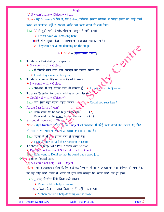|   | Verb                                                                                                             |
|---|------------------------------------------------------------------------------------------------------------------|
|   | (b) $S + can't have + Object + v4$                                                                               |
|   | Note – यह Structure दर्शाता है, कि Subject वर्तमान अथवा भविष्य में किसी अन्य को कोई कार्य                        |
|   | करने का इजाजत नहीं दे सकता, यानि उसे कार्य करने से रोक देगा।                                                     |
|   | Ex.:- (a) मैं तुझे यहाँ सिगरेट पीने का अनुमति नहीं दूंगा।                                                        |
|   | $\triangleright$ I can't have you smoking here.                                                                  |
|   | (b) वे लोग मुझे स्टेज पर नाचने का इजाजत नहीं दे सकते।                                                            |
|   | $\triangleright$ They can't have me dancing on the stage.                                                        |
|   | LEN<br>$\triangleright$ Could – (भूतकालिक क्षमता)                                                                |
| ❖ | To show a Past ability or capacity.<br>$\triangleright$ S + could + v1 + Object                                  |
|   | $Ex.$ :- मैं पिछले साल नया कार खरीदने का क्षमता रखता था।                                                         |
|   | $\triangleright$ I could buy a new car last year.                                                                |
| ≪ | To show a less ability or capacity of Present.<br>$\triangleright$ S + could + v1 + Object                       |
|   | Ex.:- जैसे-तैसे मैं यह सवाल बना भी सकता हूँ। $\triangleright$ I could solve this Question.                       |
| ❖ | To arise Question for one's wishes or permission.                                                                |
|   | $\triangleright$ Could + S + v1 + Object +?                                                                      |
|   | $Ex$ .:- क्या आप यहा बैठना पसंद करेंगे?<br>Could you seat here?<br>、≻                                            |
| ≪ | As the Past form of 'can'                                                                                        |
|   | Ex.:- Ram said that he can buy a new car.<br>$-({\bf x})$                                                        |
| ❖ | Ram said that he could buy a new car.<br>$ (\checkmark)$<br>$S + \text{could have} + v3 + \text{Object}$         |
|   | Note – यह Structure दशीता है कि Subject को प्रेतकाल में कोई कार्य करने का क्षमता था, फिर                         |
|   | भी पूरा न कर पाने के कारण अफसोस दर्शाया जा रहा है।                                                               |
|   | $Ex$ .:- परीक्षा में मैं यह सवाल बना ले सकता था।                                                                 |
|   |                                                                                                                  |
| ≪ | $\triangleright$ I could have solved this Question in Exam.<br>To show the target of a Past Action with so that. |
|   | $\triangleright$ Past Action + so that + S + could + v1 + Object                                                 |
|   | <b>Ex:</b> Raju went to Delhi so that he could get a good job.                                                   |
|   | In some Phrasal uses.                                                                                            |
|   | (a) $S$ + could not help + $v4$ + Object                                                                         |
|   | Note – यह Structure दर्शाता है, कि Subject प्रेतकाल में अपने आदत का ऐसा शिकार हो गया था,                         |
|   | की वह कोई कार्य करने से अपने को रोक नहीं सकता था, यानि कार्य कर ही डाला।                                         |
|   | Ex.:- (i) राजू सिगरेट पिये बिना नहीं माना।                                                                       |
|   | $\triangleright$ Raju couldn't help smoking.                                                                     |
|   | (ii) मोहन स्टेज पर नाचे बिना रह ही नहीं सकता था।                                                                 |
|   | $\triangleright$ Mohan couldn't help dancing on the stage.                                                       |
|   | <b>BY</b> - Pritam Kumar Raw<br>Page 17<br>Mob. - 9534411155                                                     |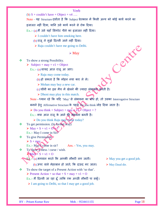**Example 2018** Verb (b)  $S + \text{couldn't have} + \text{Object} + v4 \dots$  $\overline{\text{Note}} - \overline{\text{arg}}$  Structure दर्शाता है कि Subject प्रेतकाल में किसी अन्य को कोई कार्य करने का इजाजत नहीं दिया, यानि उसे कार्य करने से रोक दिया। Ex.:- (a) मैं उसे यहाँ सिगरेट पीने का इजाजत नहीं दिया।  $\triangleright$  I couldn't have him smoking here. (b) राजू ने मुझे दिल्ली जाने नहीं दिया। Centre  $\triangleright$  Raju couldn't have me going to Delhi.  $\triangleright$  May **❖** To show a strong Possibility.  $\triangleright$  Subject + may + v1 + Object Ex.:- (a) शायद आज राजू आ जाए।  $\triangleright$  Raju may come today. (b) हो सकता है कि मोहन नया कार ले ले।  $\triangleright$  Mohan may buy a new car. (c) धौनी का इस मैच में खेलने की ज्यादा संभावना बनती है।  $\triangleright$  Dhoni may play in this match. Note – ध्यान रहे कि यदि 'May' से संभावना का बोध हो, तो उसका Interrogative Structure बनाने हेतु Affirmative Structure के पहले Do you think जोड़ दिया जाता है।  $\triangleright$  Do you think + Subject + may + v1 + Object + ? Ex.:- क्या आज राजू के आने की संभवना बनती है।  $\triangleright$  Do you think Raju may come today?  $\div$  To get permission. (In formal way)  $\triangleright$  May + S + v1 + O  $\rightsquigarrow$ ? Ex.:- May I come in Sir?  $\div$  To give Permission.  $\triangleright$  S + may Ex.:- May I come in sir? Ans. - Yes, you may.  $\div$  To show a bless / curse / wish.  $\sqrt{Ma\sqrt{a^2+S}+v^2+O}$  $\mathbf{E}$ .:- (a) भगवान करते कि आपकी नौकरी लग जाती।  $\blacktriangleright$  May you get a good job. (b) ऊपर वाले मेहरबान हो जाते, कि दाऊद मर जाता।  $\blacktriangleright$  May Daud die. To show the target of a Present Action with 'so that'.  $\triangleright$  Present Action + so that + S + may + v1 + O Ex.:- मैं दिल्ली जा रहा हूँ, ताकि एक अच्छी नौकरी पा सकूँ।  $\triangleright$  I am going to Delhi, so that I may get a good job.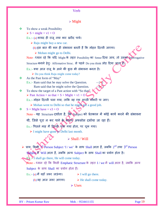#### $\triangleright$  Might

 $\triangleleft$  To show a weak Possibility  $\triangleright$  S + might + v1 + O  $Ex.:- (a)$  शायद ही राजू नया कार खरीद पाये।  $\triangleright$  Raju might buy a new car. (b) इस बात की कम ही संभावना बनती हैं कि मोहन दिल्ली जाएगा।  $\triangleright$  Mohan might go to Delhi. Note - Úयान रहे ͩक यǑद Might के तहत Possibility का Sense Ǒदया जाय, तो उसका Interrogative Structure बनाने हेतुः Affirmative Struc. से पहले Do you think जोड़ दिया जाता है। Ex.:- क्या आज राजू के आने की कुछ भी संभावना बनता है।  $\triangleright$  Do you think Raju might come today? As the Past form of "May"  $Ex.:$  Ram said that he may solve the Question. Ram said that he might solve the Question. ◆ To show the target of a Past action with "So that".  $\triangleright$  Past Action + so that + S + Might + v1 + O Ex.:- मोहन दिल्ली चला गया, ताकि वह एक अच्छी नौकरी पा जाए। Mohan went to Delhi so that he might get a good job.  $\div$  S + Might have + v3 + O Note – यह Structure दर्शाता है, कि Subject को प्रेतकाल में कोई कार्य करने की संभावना थी, जिसे पूरा न कर पाने के कारण अफसोस दर्शाया जा रहा हैं। Ex.:- पिछले माह मैं दिल्ली चला गया होता, पर चूक गया। > I might have gone to Delhi last month.  $\triangleright$  Shall / Will > प्रायः किसी 1<sup>st</sup> Person Subject 'I / we' के साथ Shall आता हैं, जबकि 2<sup>nd</sup> तथा 3<sup>rd</sup> Person Subject मैं Will आता हैं, जबकि अन्य Subject के साथ Shall का प्रयोग होता है।  $Ex.:$  I shall go there, He will come today.  $\mathbb N$ ote – ध्यान रहे कि किसी Emphatic Structure के तहत I / we में will आता है, जबकि अन्य Subject के साथ Shall का प्रयोग होता हैं। Ex.:- (a) मैं वहाँ जरूर जाऊंगा।  $\blacktriangleright$  I will go there. (b) वह आज जरूर आएगा।  $\triangleright$  He shall come today. Uses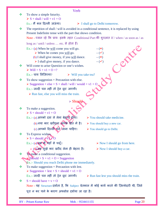|   | Verb                                                                                                                  |
|---|-----------------------------------------------------------------------------------------------------------------------|
| ❖ | To show a simple futurity.                                                                                            |
|   | $\triangleright$ S + shall / will + v1 + O                                                                            |
|   | Ex.:- मैं कल दिल्ली जाऊंगा।<br>$\triangleright$ I shall go to Delhi tomorrow.                                         |
| ❖ | The repetition of shall / will is avoided in a conditional sentence, it is replaced by using                          |
|   | Present Indefinite tense with the part that shows condition.                                                          |
|   | Note – ध्यान रहे कि प्रायः इसके तहत Conditional Part की शुरुआत If / when / as soon as / as                            |
|   | long as / until / unless  etc. से होता हैं।                                                                           |
|   | Ex.:- (a) When he $will$ come you will go.<br>$-({\bf x})$                                                            |
|   | $-(\checkmark)$<br>$\triangleright$ When he comes you <u>will</u> go.                                                 |
|   | $-({\bf x})$<br>(b) I shall give money, if you will dance.                                                            |
| ❖ | $-(\checkmark)$<br>$\triangleright$ I shall give money, if you dance.<br>Will come to arise Question or one's wishes. |
|   | $\triangleright$ Will + S + v1 + O +?                                                                                 |
|   | $Ex.$ :- चाय लिजिएगा?<br>$\triangleright$ Will you take tea?                                                          |
| ❖ | To show suggestion $+$ Precaution with else.                                                                          |
|   | $\triangleright$ Suggestion + else + S + shall / will / would + v1 + O                                                |
|   | Ex.:- जल्दी चल नहीं तो ट्रेन छूट जाएगी।                                                                               |
|   | $\triangleright$ Run fast, else you will miss the train.                                                              |
|   | $\triangleright$ Should                                                                                               |
| ❖ |                                                                                                                       |
|   | To make a suggestion.<br>$\triangleright$ S + should + v1 + O                                                         |
|   | Ex.:- (a) आपको दवा ले लेना बेहतर होगा।<br>$\triangleright$ You should take medicine.                                  |
|   | (b) नया कार खरीदना आपके हित में है।<br>$\triangleright$ You should buy a new car.                                     |
|   | (c) आपको दिल्ली चले जाना चाहिए।<br>$\triangleright$ You should go to Delhi.                                           |
| ❖ | To Express wishes                                                                                                     |
|   | $\triangleright$ S + should $\mathbb{R}^n$                                                                            |
|   | Ex.:- (a) अब मैं यहाँ से चलूँ।<br>$\triangleright$ Now I should go from here.                                         |
|   | • (b) अब मुझे कार खरीद लेना ही बेहतर है।<br>$\triangleright$ Now I should buy a car.                                  |
| 豪 | To make a conditional suggestion.                                                                                     |
|   | $\triangleright$ Should + S + v1 + O + Suggestion                                                                     |
|   | Ex.:- Should you reach Delhi phone me immediately.                                                                    |
| ❖ | To make suggestion $+$ Precaution with lest.<br>$\triangleright$ Suggestion + lest + S + should + v1 + O              |
|   | Ex.:- जल्दी चल नहीं तो ट्रेन छूट जाएगी।<br>$\triangleright$ Run fast lest you should miss the train.                  |
| ❖ | $S +$ should have + $v + O$                                                                                           |
|   | Note - यह Structure दर्शाता है, कि Subject प्रेतकाल में कोई कार्य करने की ज़िम्मेदारी थी, जिसे                        |
|   | पूरा न कर पाने के कारण अफसोस दर्शाया जा रहा है।                                                                       |
|   |                                                                                                                       |
|   |                                                                                                                       |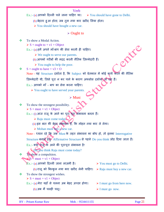Ex.:- (a) आपको दिल्ली चले जाना चाहिए था।  $\triangleright$  You should have gone to Delhi.

(b) बेहतर हूआ होता, जब तूम नया कार खरीद लिया होता।

You should have bought a new car.

#### $\triangleright$  Ought to

 $\div$  To show a Modal Action.

 $\triangleright$  S + ought to + v1 + Object

 $Ex.:- (a)$  हमें अपने माँ-बाप की सेवा करनी ही चाहिए।

- $\triangleright$  We ought to serve our parents.
- (b) आपको गरीबों की मदद करनी नैतिक ज़िम्मेदारी हैं।
- You ought to help the poor.

 $\mathbf{\hat{S}}$  + ought to have + v3 + O

Note – यह Structure दर्शाता है, कि Subject को प्रेतकाल में कोई कार्य करने की नैतिक

ज़िम्मेदारी थी, जिसे पूरा न कर पाने के कारण अफसोस दर्शाया जा रहा हैं।

 $Ex.:$ - आपको माँ - बाप का सेवा करना चाहिए।

You ought to have served your parents.

#### $\triangleright$  Must

 $\div$  To show the strongest possibility.

 $\triangleright$  S + must + v1 + Object

Ex.:- (i) आज राजू के आने का पूरा पूरा संभावना बनता हैं।

 $\triangleright$  Raju must come today.

(ii) इस बात की बेहद संभावना है, कि मोहन नया कार ले लेगा।

 $\triangleright$  Mohan must buy a hew car.

Note - ध्यान रहे कि जब Must के तहत संभावना का बोध हो, तो इनका Interrogative Structure बनाने हेतुः Affirmative Structure से पहले Do you think जोड़ दिया जाता हैं। Ex.:- क्या राजू के आने की पूरा-पूरा संभावना है?

 $\rightarrow$  Do you think Raju must come today?

 $\div$  To show a compulsion.

 $\triangleright$  S<sup>7</sup>+ must + v1 + Object

 $\mathbb{E}_{\mathrm{X},:}$  (a) आपको दिल्ली जाना लाज़मी है।  $\blacktriangleright$  You must go to Delhi.

(b) राजू को बिल्कुल नया कार खरीद लेनी चाहिए।  $\triangleright$  Raju must buy a new car.

 $\mathbf{\hat{P}}$  To show the strongest wishes.

- $\triangleright$  S + must + v1 + Object
- Ex.:- (a) मेरा यहाँ से चलना अब बेहद अच्छा होगा।  $\blacktriangleright$  I must go from here now.
	- (b) अब मैं चलही चलू।  $\blacktriangleright$  I must go now.
- -

PAINE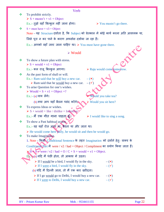|   | Verb                                                                                                                |
|---|---------------------------------------------------------------------------------------------------------------------|
| ❖ | To prohibit strictly.                                                                                               |
|   | $\triangleright$ S + mustn't + v1 + Object                                                                          |
|   | Ex.:- तुझे वहाँ बिल्कुल नहीं जाना होगा।<br>$\triangleright$ You mustn't go there.                                   |
| ❖ | $S + must have + v3 + Object$                                                                                       |
|   | Note – यह Structure दर्शाता है, कि Subject को प्रेतकाल में कोई कार्य करना अति आवश्यक था,                            |
|   | जिसे पूरा न कर पाने के कारण अफसोस दर्शाया जा रहा हैं।                                                               |
|   | Ex.:- आपको वहाँ जरूर जाना चाहिए था। $\triangleright$ You must have gone there.                                      |
|   | ERE<br>$\triangleright$ Would                                                                                       |
| ❖ | To show a future plan with stress.                                                                                  |
|   | $\triangleright$ S + would + v1 + Object                                                                            |
|   | Ex.:- कल राजू बिल्कुल आएगा।<br>$\triangleright$ Raju would come tomorrow.                                           |
| ❖ | As the past form of shall or will.                                                                                  |
|   | Ex.:- Ram said that he will buy a new car.<br>$ (x)$                                                                |
|   | $-(\checkmark)$<br>$\triangleright$ Ram said that he <u>would</u> buy a new car.                                    |
| ❖ | To arise Question for one's wishes.                                                                                 |
|   | $\triangleright$ Would + S + v1 + Object +?                                                                         |
|   | $Ex.:- (a)$ चाय) लेंगे।<br>Would you take tea?                                                                      |
|   | (b) क्या आप यहाँ बैठना पसंद करेंगे।<br>Would you sit here?                                                          |
| ❖ | To express Ideas or wishes.                                                                                         |
|   | $\triangleright$ S + would + like / dislike + Infinitive                                                            |
|   | Ex.:- मैं एक गीत गाना चाहता हूँ।<br>$\triangleright$ I would like to sing a song.                                   |
| ❖ | To show a Past habitual action.                                                                                     |
|   | Ex.:- वह यहाँ रोज आता था, बैठता था और जाता था।                                                                      |
|   | $\triangleright$ He would come here paily, he would sit and then he would go.                                       |
| ❖ | To make Imagination.                                                                                                |
|   | 1. Note - किसी Conditional Sentence के तहत Imagination को दर्शाने हेतुः वाक्य के                                    |
|   | Conditional Part में were / v2 / had + Object / Compliment का प्रयोग किया जाता हैं।                                 |
|   | $\blacktriangleright$ If $\blacklozenge$ S $\blacktriangleright$ were / v2 / had + O / C + S + would + v1 + Object. |
|   | $E_{k}$ $(a)$ यदि मैं पंछी होता, तो आकाश में उड़ता।                                                                 |
|   | $\triangleright$ If I would be a bird, I would fly in the sky.<br>$-(\mathbf{x})$                                   |
|   | $-(\checkmark)$<br>$\triangleright$ If I <u>were</u> a bird, I would fly in the sky.                                |
|   | (b) यदि मैं दिल्ली जाता, तो मैं एक कार खरीदता।                                                                      |
|   | $\triangleright$ If I go <u>would</u> go to Delhi, I would buy a new car.<br>$-({\bf x})$                           |
|   | $ (\checkmark)$<br>$\triangleright$ If I <u>went</u> to Delhi, I would buy a new car.                               |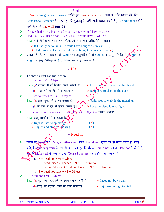|   | Verb                                                                                                     |
|---|----------------------------------------------------------------------------------------------------------|
|   | 2. Note - Imagination Remorse दर्शाने हेतुः would have + v3 आता हैं, और ध्यान रहें, कि                   |
|   | Conditional Sentence के तहत इसकी पुनरावृति नहीं होती इससे बचने हेतुः Conditional दर्शाने                 |
|   | वाले भाग में had + v3 आता हैं।                                                                           |
| ❖ | If + S + had + v3 / been / had + O / C + S + would have + v3 + O                                         |
| ❖ | $Had + S + v3 / been / had + O / C + S + would have + v3 + O$                                            |
|   | $Ex.$ :- यदि मैं दिल्ली चला गया होता, तो नया कार खरीद लिया होता।                                         |
|   | $\triangleright$ If I had gone to Delhi, I would have bought a new car. $-(\checkmark)$                  |
|   | $\triangleright$ Had I gone to Delhi, I would have bought a new car.<br>$-(\checkmark)$                  |
| ❖ | ध्यान रहे कि इस अवस्था में Would की अनुपस्थिति में Could, के अनुपस्थिति में Might तथा                    |
|   | Might के अनुपस्थिति में Should का प्रयोग हो सकता है।                                                     |
|   | $\triangleright$ Used to                                                                                 |
| ❖ | To show a Past habitual action.                                                                          |
|   | $S +$ used to $+ v1 +$ Object                                                                            |
|   | $Ex.$ :- (a) बचपन में मैं क्रिकेट खेला करता था।<br>$\triangleright$ I used to play cricket in childhood. |
|   | (b) राजू वर्ग में ही सोया करता था।<br>$\rightarrow$ Raju used to sleep in the class.                     |
| 參 | $S +$ used to / uses to + v1 + Object                                                                    |
|   | Ex.:- (a) राजू सुबह में टहला करता है।<br>$\triangleright$ Raju uses to walk in the morning.              |
|   | (b) मैं रात में देर से सोया करता हूँ $\overline{K}$<br>$\triangleright$ I used to sleep late at night.   |
| ❖ | $S + is / am / are / was / were + used to + V4 + Object - ($ खराब आदत)                                   |
|   | Ex.:- राजू सिगरेट पिया करता है                                                                           |
|   | $\triangleright$ Raju is used to smoking.                                                                |
|   | $\triangleright$ Raju is addicted to smoking.                                                            |
|   | $\triangleright$ Need not                                                                                |
|   | वाक्य में Need तथा Dare, Auxiliary verb तथा Modal verb दोनों का ही कार्य करते है, परंतु                  |
|   | यदि ये Auxiliary verb के रूप में आए, तो इसकी संरचना Need not अथवा Dare not से होती है,                   |
|   | जबकि Main verb के रूप में इन्हे Tense Structure पर दर्शाया जा सकता है।                                   |
|   | 1. $S + need not + v1 + Object$                                                                          |
|   | 2. $S + need / needs / decoded + N / P + Infinite$                                                       |
|   | 3. $S +$ do not / does not / did not + need + N / P + Infinitive                                         |
|   | 4. $S + need not have + v3 + Object$                                                                     |
| ❖ | $S + need not + v1 + Object$                                                                             |
|   | Ex.:- (a) मुझे कार खरीदने की आवश्यकता नहीं है।<br>$\triangleright$ I need not buy a car.                 |
|   | (b) राजू को दिल्ली जाने के क्या जरूरत।<br>$\triangleright$ Raju need not go to Delhi.                    |
|   |                                                                                                          |
|   |                                                                                                          |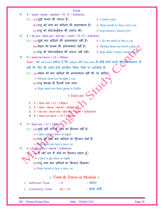| $S + need / needs / needed + N / P + Infinite$<br>❖<br>$Ex.: (a)$ मुझे कलम की जरूरत है।<br>$\triangleright$ I need a pen.<br>(b) राजू को नया कर खरीदने की आवश्यकता है।<br>$\triangleright$ Raju needs to buy a new car.<br>(c) राजू को मोटरसाईकल की जरूरत थी।<br>$\triangleright$ Raju needed a Motorcycle. |  |  |  |
|-------------------------------------------------------------------------------------------------------------------------------------------------------------------------------------------------------------------------------------------------------------------------------------------------------------|--|--|--|
|                                                                                                                                                                                                                                                                                                             |  |  |  |
|                                                                                                                                                                                                                                                                                                             |  |  |  |
|                                                                                                                                                                                                                                                                                                             |  |  |  |
|                                                                                                                                                                                                                                                                                                             |  |  |  |
| $S$ + do not / does not / did not + need + N / P + Infinitive<br>❖                                                                                                                                                                                                                                          |  |  |  |
| Ex.:- (a) मुझे कार खरीदने की आवश्यकता नहीं है।<br>$\triangleright$ I do not need to buy a car.                                                                                                                                                                                                              |  |  |  |
| (b) मोहन को कलम की आवश्यकता नहीं है।<br>$\triangleright$ Mohan does not need a pen.                                                                                                                                                                                                                         |  |  |  |
| (c) राजू को मोटरसाईकल की जरूरत नहीं पड़ी।<br>> Raju didn't need a motore cle.                                                                                                                                                                                                                               |  |  |  |
| $S + need not have + v3 + Object$<br>❖                                                                                                                                                                                                                                                                      |  |  |  |
| Note – यह Structure दर्शाता है, कि Subject को Past tense में कोई कार्य करने की आज र्थयकता तो                                                                                                                                                                                                                |  |  |  |
| नहीं थी, फिर भी उसने कार्य संपादित किया, जिस पर अफसोस है।                                                                                                                                                                                                                                                   |  |  |  |
| $Ex$ .:- (a) मोहन को कार खरीदने की आवश्यकता नहीं थी, पर खरीदा।                                                                                                                                                                                                                                              |  |  |  |
| $\triangleright$ Mohan need not bought a car.                                                                                                                                                                                                                                                               |  |  |  |
| (b) राजू बेवजह ही दिल्ली चला गया।                                                                                                                                                                                                                                                                           |  |  |  |
| $\triangleright$ Raju need not have gone to Delhi.                                                                                                                                                                                                                                                          |  |  |  |
| $\triangleright$ Dare not                                                                                                                                                                                                                                                                                   |  |  |  |
| 1. $S +$ dare not + v1 + Object                                                                                                                                                                                                                                                                             |  |  |  |
| 2. $S + \text{dare} / \text{dares} / \text{dared} + \text{Infinitive}$                                                                                                                                                                                                                                      |  |  |  |
| $S +$ do not / does not / did not $\pm$ dare $+$ Infinitive<br>3.                                                                                                                                                                                                                                           |  |  |  |
| 4. $S +$ dare not have $+ v3 +$ Object                                                                                                                                                                                                                                                                      |  |  |  |
| $S +$ dare not + v1 + Object<br>≪                                                                                                                                                                                                                                                                           |  |  |  |
| Ex.:- (a) मुझे वहाँ रात में ज़ाने का हिम्मत नहीं है।                                                                                                                                                                                                                                                        |  |  |  |
| $\triangleright$ I dare not go there at night.                                                                                                                                                                                                                                                              |  |  |  |
| (b) राजू क्यौँ नयाँ कार खरीदने का हिम्मत कहाँ है।                                                                                                                                                                                                                                                           |  |  |  |
| > Required are not buy a new car.                                                                                                                                                                                                                                                                           |  |  |  |
| $S + \text{date}/\text{dares}/\text{dared} + \text{Infinite}.$<br>∙⊱                                                                                                                                                                                                                                        |  |  |  |
| <u>ि :- �</u> �मैं वहाँ रात में जाने का हिम्मत रखता हूँ।                                                                                                                                                                                                                                                    |  |  |  |
| $\triangleright$ I dare to go there at night.                                                                                                                                                                                                                                                               |  |  |  |
| (b) राजू नया कार खरीदने का हिम्मत दिखाया।                                                                                                                                                                                                                                                                   |  |  |  |
| $\triangleright$ Raju dared to buy a new car.                                                                                                                                                                                                                                                               |  |  |  |
| $\le$ Time & Tense or Modals $\ge$                                                                                                                                                                                                                                                                          |  |  |  |
| 1. Indefinite Tense<br>– आदत<br>$- v1$                                                                                                                                                                                                                                                                      |  |  |  |
| – कार्य जारी<br>2. Continuous Tense $-be + v4$                                                                                                                                                                                                                                                              |  |  |  |
|                                                                                                                                                                                                                                                                                                             |  |  |  |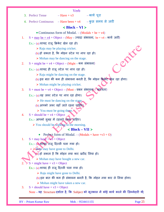|    |                                                                                   | Verb                                                                                  |                                                                                            |  |
|----|-----------------------------------------------------------------------------------|---------------------------------------------------------------------------------------|--------------------------------------------------------------------------------------------|--|
|    | 3. Perfect Tense                                                                  | $-$ Have + $v3$                                                                       | – कार्य पूरा                                                                               |  |
|    |                                                                                   | 4. Perfect Continuous $-$ Have been + $v4$                                            | –कुछ समय से जारी                                                                           |  |
|    |                                                                                   | $\langle$ Block – VI $\rangle$                                                        |                                                                                            |  |
|    |                                                                                   | • Continuous form of Modal. $-(\text{Modals} + \text{be} + \text{v4})$                |                                                                                            |  |
| 1. |                                                                                   |                                                                                       | $S + \underline{may}$ be + v4 + Object – (May – ज्यादा संभावना, be + v4 – कार्यजारी)       |  |
|    | Ex.:- (a) शायद राजू क्रिकेट खेल रहा हो।                                           |                                                                                       |                                                                                            |  |
|    |                                                                                   | $\triangleright$ Raju may be playing cricket.                                         |                                                                                            |  |
|    |                                                                                   | (b) हो सकता है, कि मोहन स्टेज पर नाच रहा हो।                                          |                                                                                            |  |
|    |                                                                                   | $\triangleright$ Mohan may be dancing on the stage.                                   | <b>Proces</b>                                                                              |  |
| 2. |                                                                                   | $S + might be + v4 + Object - (Might - \overline{\sigma} \overline{\sigma})$ संभावना) |                                                                                            |  |
|    |                                                                                   | Ex.:- (a) शायद ही राजू स्टेज पर नाच रहा हो।                                           |                                                                                            |  |
|    |                                                                                   | $\triangleright$ Raju might be dancing on the stage.                                  |                                                                                            |  |
|    |                                                                                   |                                                                                       | (b) इस बात की कम ही संभावना बनती है, कि मोहन क्रिकेट खेल रहा होगा।                         |  |
|    |                                                                                   | $\triangleright$ Mohan might be playing cricket.                                      |                                                                                            |  |
| 3. |                                                                                   | $S + must be + v4 + Object - (Must - \frac{1}{2} \pi)$ बाध्यता                        |                                                                                            |  |
|    | Ex.:- (a) वह जरूर स्टेज पर नाच रहा होगा।                                          |                                                                                       |                                                                                            |  |
|    |                                                                                   | $\triangleright$ He must be dancing on the stage.                                     |                                                                                            |  |
|    |                                                                                   | (b) आपको जरूर वहाँ जाते रहना चाहिए।                                                   |                                                                                            |  |
|    |                                                                                   | $\triangleright$ You must be going there.                                             |                                                                                            |  |
| 4. | $S +$ should be $+ v4 +$ Object                                                   |                                                                                       |                                                                                            |  |
|    | Ex.:- आपको सुबह में टहलते रहना चाहिए।                                             |                                                                                       |                                                                                            |  |
|    |                                                                                   | $\triangleright$ You should be walking in the morning.                                |                                                                                            |  |
|    | $\triangleleft Block - VII$<br>Perfect form of Modal. $-($ Modals + have +v3 + O) |                                                                                       |                                                                                            |  |
| 1. | $S +$ may have $+\sqrt{3} +$ Object                                               |                                                                                       |                                                                                            |  |
|    | Ex.:- (a) शायद राजू दिल्ली चला गया हो।                                            |                                                                                       |                                                                                            |  |
|    | $\rightarrow$ Raju may have gone to Delhi.                                        |                                                                                       |                                                                                            |  |
|    |                                                                                   | $\langle \mathbf{b} \rangle$ हो सकता है कि मोहन नया कार खरीद लिया हो।                 |                                                                                            |  |
|    |                                                                                   | > Mohan may have bought a new car.                                                    |                                                                                            |  |
|    | $S + might have + v3 + Object$                                                    |                                                                                       |                                                                                            |  |
|    |                                                                                   | Ex.:- (a) शायद ही राजू दिल्ली चला गया हो।                                             |                                                                                            |  |
|    |                                                                                   | $\triangleright$ Raju might have gone to Delhi.                                       |                                                                                            |  |
|    |                                                                                   |                                                                                       | <u>(b)</u> इस बात की कम ही संभावना बनती है, कि मोहन नया कार ले लिया होगा।                  |  |
|    |                                                                                   | $\triangleright$ Mohan might have taken a new car.                                    |                                                                                            |  |
| 3. | $S +$ should have $+ v3 +$ Object                                                 |                                                                                       | Note - यह Structure दर्शाता है, कि Subject को भूतकाल में कोई कार्य करने की ज़िम्मेदारी थी, |  |
|    |                                                                                   |                                                                                       |                                                                                            |  |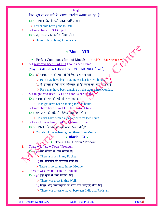जिसे पूरा न कर पाने के कारण अफसोस दर्शाया जा रहा हैं।

Ex.:- आपको दिल्ली चले जाना चाहिए था।

 $\triangleright$  You should have gone to Delhi.

4.  $S + must have + v3 + Object$ 

Ex.:- वह जरूर कार खरीद लिया होगा।

 $\triangleright$  He must have bought a new car.

#### $\leq$  **Block – VIII**  $\geq$

Perfect Continuous form of Modals. – (Modals + have been +  $v4$ ) 1. S + <u>may have been + v4 + O</u> + for / since + time (May - ज्यादा संभावना, Have been + V4 - कुछ समय से जारी) Ex.:- (a) शायद राम दो घंटा से क्रिकेट खेल रहा हो।  $\triangleright$  Ram may have been playing cricket for two hours. (b) हो सकता है कि राजू सोमवार से हि स्टेज पर नाच रहा हो।  $\triangleright$  Raju may have been dancing on the stage since Monday. 2. S + might have been +  $v4 + O + for / since + time$ Ex.:- शायद ही वह दो घंटे से नाच रहा हो।  $\triangleright$  He might have been dancing for two hours. 3. S + must have been +  $v4 + O + f$  or / since + time. Ex.:- वह जरूर दो घंटे से क्रिकेट खेल रहा होगा।  $\triangleright$  He must have been playing cricket for two hours. 4. S + should have been +  $\times$  +  $\bullet$   $\bullet$   $+$  from + time Ex.:- आपको सोमवार से वहाँ जाते रहना चाहिए। ▶ You should have been going there from Monday.  $\leq$  **Block** – **IX**  $\geq$  There + be + Noun / Pronoun 1. There  $\rightarrow$  is  $\angle$  are + Noun / Pronoun. Ex.: (a) मेरे पॉकेट में एक कलम हैं।  $\triangleright$  There is a pen in my Pocket. (b) मेरे मोबाईल में बायलेंस नहीं है।  $\triangleright$  There is no balance in my Mobile. 2. There + was / were + Noun / Pronoun.  $Ex.:- (a)$  इस कुंए में एक बिल्ली थी।  $\triangleright$  There was a cat in this Well. (b) भारत और पाकिस्तान के बीच एक जोरदार मैच था। **There was a tussle match between India and Pakistan.**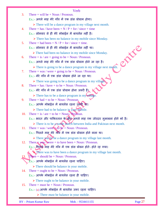|     | Verb                                                                            |         |
|-----|---------------------------------------------------------------------------------|---------|
| 3.  | There $+$ will be $+$ Noun / Pronoun.                                           |         |
|     | Ex.:- अगले माह मेरे गाँव में एक डांस प्रोग्राम होगा।                            |         |
|     | $\triangleright$ There will be a dance program in my village next month.        |         |
| 4.  | There + has / have been + N / P + for / since + time                            |         |
|     | $Ex.$ :- सोमवार से ही मेरे मोबाईल में बायलेंस नहीं है।                          |         |
|     | $\triangleright$ There has been no balance in my mobile since Monday.           |         |
| 5.  | There + had been + N / P + for / since + time.                                  |         |
|     | $Ex.$ :- सोमवार से ही मेरे मोबाईल में बायलेंस नहीं था।                          | PIUS    |
|     | $\triangleright$ There had been no balance in my mobile since Monday.           |         |
| 6.  | There $+$ is $/$ are $+$ going to be $+$ Noun $/$ Pronoun.                      |         |
|     | Ex.:- अगले माह मेरे गाँव में एक डांस प्रोग्राम होने जा रहा है।                  |         |
|     | $\triangleright$ There is going to be a dance program in my village next month. |         |
| 7.  | There + was / were + going to be + Noun / Pronoun.                              |         |
|     | Ex.:- मेरे गाँव में एक डांस प्रोग्राम होने जा रहा था।                           |         |
|     | $\triangleright$ There was going to be a dance program in my village            |         |
| 8.  | There + has $/$ have + to be + Noun $/$ Pronoun.                                |         |
|     | $Ex :=$ मेरे गाँव में एक डांस प्रोग्राम होना जरूरी हैं।                         |         |
|     | $\triangleright$ There has to be a dance program in my village.                 |         |
| 9.  | There $+$ had $+$ to be $+$ Noun / Pronoun.                                     |         |
|     | Ex.:- आपके मोबाईल में बायलेंस रहना जरूरी था।                                    |         |
|     | $\triangleright$ There had to be balance in your mobile.                        |         |
| 10. | There $+$ is $/$ are $+$ to be $+$ Noun $/$ Pronoun.                            |         |
|     | Ex.:- भारत और पाकिस्तान के बीच अगले माह एक जोरदार मुक़ाबला होने को है।          |         |
|     | > There is to be a tusse match between India and Pakistan next month.           |         |
| 11. | There + was / were $\angle$ 6 be + Noun / Pronoun.                              |         |
|     | $Ex.$ :- पिछले माह मेरे गाँव में एक डांस प्रोग्राम होने वाला था।                |         |
|     | $\triangleright$ There was to be a dance program in my village last month.      |         |
| 12. | There $\star$ was \ were + to have been + Noun / Pronoun.                       |         |
|     | Ex.:- मिछले माह मेरे गाँव में एक डांस प्रोग्रन होते - होते रह गया।              |         |
|     | There was to have been a dance program in my village last month.                |         |
| 13. | There $+$ should be $+$ Noun / Pronoun.                                         |         |
|     | Ex.:- आपके मोबाईल में बायलेंस रहना चाहिए।                                       |         |
|     | $\triangleright$ There should be balance in your mobile.                        |         |
| 14. | There + ought to be + Noun / Pronoun.                                           |         |
|     | $Ex.$ :- आपके मोबाईल में बायलेंस रहना ही चाहिए।                                 |         |
|     | $\triangleright$ There ought to be balance in your mobile.                      |         |
| 15. | There $+$ must be $+$ Noun / Pronoun.                                           |         |
|     | Ex.:- (a) आपके मोबाईल में बायलेंस जरूर रहना चाहिए।                              |         |
|     | $\triangleright$ There must be balance in your mobile.                          |         |
|     |                                                                                 |         |
|     | <b>BY</b> - Pritam Kumar Raw<br>Mob. - 9534411155                               | Page 27 |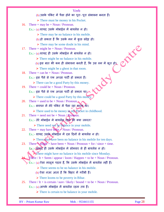|     | Verb                                                                                                       |
|-----|------------------------------------------------------------------------------------------------------------|
|     | (b) उसके पॉकेट में पैसा होने का पूरा- पूरा संभावना बनता हैं।                                               |
|     | $\triangleright$ There must be money in his Pocket.                                                        |
| 16. | There $+$ may be $+$ Noun / Pronoun.                                                                       |
|     | Ex.:- (a) शायद उसके मोबाईल में बायलेंस न हो।                                                               |
|     | $\triangleright$ There may be no balance in his mobile.                                                    |
|     | (b) हो सकता हैं कि उसके मन में कुछ संदेह हो।                                                               |
|     | $\triangleright$ There may be some doubt in his mind.                                                      |
| 17. | There $+$ might be $+$ Noun / Pronoun.                                                                     |
|     | Ex.:- (a) शायद ही उसके मोबाईल में बायलेंस न हो।                                                            |
|     | $\triangleright$ There might be no balance in his mobile.                                                  |
|     | (b) इस बात की कम ही संभावना बनती हैं, कि उस रूम में भूत हो <u>।</u>                                        |
|     | $\triangleright$ There might be a ghost in that room.                                                      |
| 18. | There $+$ can be $+$ Noun / Pronoun.                                                                       |
|     | Ex.:- इस पैसे से एक अच्छा पार्टी हो सकता हैं।                                                              |
|     | $\triangleright$ There can be a good Party by this money.                                                  |
| 19. | There $+$ could be $+$ Noun / Pronoun.                                                                     |
|     | Ex.:- इस पैसे से एक अच्छा पार्टी हो सकता था                                                                |
|     | $\triangleright$ There could be a good Party by this money.                                                |
| 20. | There + used to be + Noun / Pronoun.                                                                       |
|     | Ex.:- बचपन में मेरे पॉकेट में पैसा रहा करता था।                                                            |
| 21. | $\triangleright$ There used to be money in my Pocket in childhood.                                         |
|     | There + need not be + Noun $\angle$ Pronoun.<br>$Ex.$ :- तेरे मोबाईल मे बायलेंस रहवी की क्या जरूरत?        |
|     |                                                                                                            |
| 22. | $\triangleright$ There need not be balance in your mobile.<br>There + may have been $\neq$ Noun / Pronoun. |
|     | Ex.:- शायद उसके मोबाईल में दस दिनों से बायलेंस न हो।                                                       |
|     | > There, hay have been no balance in his mobile for ten days.                                              |
| 23. | There $\leftarrow$ might + have been + Noun / Pronoun + for / since + time.                                |
|     | Ex.: शायद ही उसके मोबाईल में सोमवार से ही बायलेंस न हो।                                                    |
|     | There might have no balance in his mobile since Monday.                                                    |
|     | There / It + Seem / appear / loom / Happen + to be + Noun / Pronoun.                                       |
|     | $\angle$ Ex.:- (a) ऐसा मालूम पड़ता हैं, कि उसके मोबाईल में बायलेंस नहीं हैं।                               |
|     | $\triangleright$ There seems to be no balance in his mobile.                                               |
|     | <u>(b)</u> ऐसा नजर आता हैं कि बिहार में गरीबी हैं।                                                         |
|     | $\triangleright$ There looms to be poverty in Bihar.                                                       |
| 25. | There / It + is certain / sure / likely / bound + to be + Noun / Pronoun.                                  |
|     | $Ex.$ :- (a) आपके मोबाईल में बायलेंस रहना तय हैं।                                                          |
|     | $\triangleright$ There is certain to be balance in your mobile.                                            |
|     |                                                                                                            |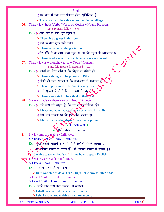#### (b) मेरे गाँव में एक डांस प्रोगाम होना सुनिश्चित हैं।

 $\triangleright$  There is sure to be a dance program in my village.

26. There / It + Static Verbs / Verbs of Motion + Noun / Pronoun.

Live, remain, follow …etc.

 $Ex.:- (a)$  इस रूम में एक भूत रहता हैं।

 $\triangleright$  There live a ghost in this room.

(b) बाढ़ के बाद कुछ नहीं बचा।

 $\triangleright$  There remained nothing after flood.

# C) मेरे गाँव में के साधू बाबा रहते थे, जो कि बहुत ही ईमानदार थे।<br>
≻ There lived a saint in my village he was very honest.<br>
e / It + is + thought + to be + Noun / Pronoun.<br>
Said, felt, reported, presume.<sup>4</sup><br>
(a) लोगों का

 $\triangleright$  There lived a saint in my village he was very honest.

27. There  $/$  It + is + thought + to be + Noun  $/$  Pronoun.

Said, felt, reported, presumed …etc.

 $Ex:=(a)$  लोगों का ऐसा सोंच हैं कि बिहार में गरीबी हैं।

 $\triangleright$  There is thought to be poverty in Bihar.

 $(b)$  लोगों की ऐसी धारणा हैं कि कण-कण में भगवान हैं।

- $\triangleright$  There is presumed to be God in every stone.
- (c) ऐसी सूचना मिली है कि उस रूम में चोर्िहैं।
- $\triangleright$  There is reported to be a thief in that room.
- 28.  $S + want / wish + there + to be + Noun / Pronoun.$ 
	- $Ex.(- (a)$  मेरे दादा जी चाहते है, कि घर में एक रेडियो रहे।
		- My Grandfather wants there to be a radio in family.
		- (b) मेरा भाई चाहता था कि एक डांस प्रोग्राम हो।

 $\triangleright$  My brother wished there to be a dance program.

#### $\leq$  **Block** – **X**  $\geq$

 $\mathbf{B}\mathbf{e}$  + able + Infinitive

1.  $S + is / am / are + able + Infinite.$ 

 $S +$  know / knows + how + Infinitive.

Ex.:- मुझे अँग्रेजी बोलने आता हैं। / मैं अँग्रेजी बोलने जानता हूँ।

ीं अँग्रेजी बोलने के योग्य हूँ। / मैं अँग्रेजी बोलने में सक्षम हूँ।

I am able to speak English. / I know how to speak English.

 $\frac{1}{2}$   $\frac{1}{2}$  was / were + able + Infinitive.

 $S +$  knew + how + Infinitive.

Ex.:- राजू कार चलाने में सक्षम था।

 $\triangleright$  Raju was able to drive a car. / Raju knew how to drive a car.

3.  $S + shall / will be + able + Infinite.$ 

 $S + shall / will + know + how + Infinite.$ 

Ex.:- अगले माह मुझे कार चलाने आ जाएगा।

- $\triangleright$  I shall be able to drive a car next month.
- $\triangleright$  I shall know how to drive a car next month.